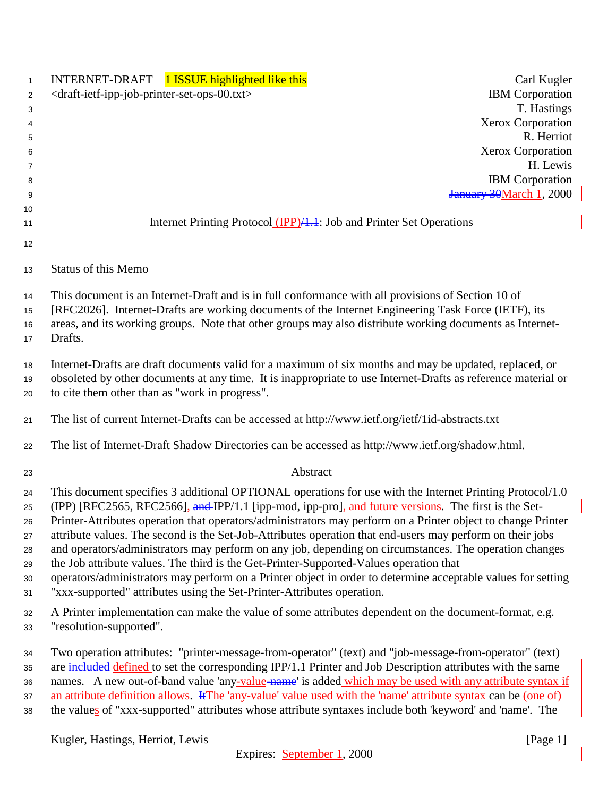| $\mathbf{1}$ | INTERNET-DRAFT 1 ISSUE highlighted like this<br>Carl Kugler                                                       |
|--------------|-------------------------------------------------------------------------------------------------------------------|
| 2            | <b>IBM</b> Corporation<br><draft-ietf-ipp-job-printer-set-ops-00.txt></draft-ietf-ipp-job-printer-set-ops-00.txt> |
| 3            | T. Hastings                                                                                                       |
| 4            | <b>Xerox Corporation</b>                                                                                          |
| 5            | R. Herriot                                                                                                        |
| 6            | Xerox Corporation                                                                                                 |
| 7            | H. Lewis                                                                                                          |
| 8            | <b>IBM</b> Corporation                                                                                            |
| 9            | January 30March 1, 2000                                                                                           |
| 10           |                                                                                                                   |
| 11           | Internet Printing Protocol (IPP)/1.1: Job and Printer Set Operations                                              |
| 12           |                                                                                                                   |
| 13           | <b>Status of this Memo</b>                                                                                        |
| 14           | This document is an Internet-Draft and is in full conformance with all provisions of Section 10 of                |
| 15           | [RFC2026]. Internet-Drafts are working documents of the Internet Engineering Task Force (IETF), its               |
| 16           | areas, and its working groups. Note that other groups may also distribute working documents as Internet-          |
| 17           | Drafts.                                                                                                           |
|              |                                                                                                                   |
| 18           | Internet-Drafts are draft documents valid for a maximum of six months and may be updated, replaced, or            |
| 19           | obsoleted by other documents at any time. It is inappropriate to use Internet-Drafts as reference material or     |
| 20           | to cite them other than as "work in progress".                                                                    |
| 21           | The list of current Internet-Drafts can be accessed at http://www.ietf.org/ietf/1id-abstracts.txt                 |
| 22           | The list of Internet-Draft Shadow Directories can be accessed as http://www.ietf.org/shadow.html.                 |
| 23           | Abstract                                                                                                          |
| 24           | This document specifies 3 additional OPTIONAL operations for use with the Internet Printing Protocol/1.0          |
| 25           | (IPP) [RFC2565, RFC2566], and IPP/1.1 [ipp-mod, ipp-pro], and future versions. The first is the Set-              |
| 26           | Printer-Attributes operation that operators/administrators may perform on a Printer object to change Printer      |
| 27           | attribute values. The second is the Set-Job-Attributes operation that end-users may perform on their jobs         |
| 28           | and operators/administrators may perform on any job, depending on circumstances. The operation changes            |
| 29           | the Job attribute values. The third is the Get-Printer-Supported-Values operation that                            |
| 30           | operators/administrators may perform on a Printer object in order to determine acceptable values for setting      |
| 31           | "xxx-supported" attributes using the Set-Printer-Attributes operation.                                            |
| 32           | A Printer implementation can make the value of some attributes dependent on the document-format, e.g.             |
| 33           | "resolution-supported".                                                                                           |
| 34           | Two operation attributes: "printer-message-from-operator" (text) and "job-message-from-operator" (text)           |
| 35           | are included defined to set the corresponding IPP/1.1 Printer and Job Description attributes with the same        |
| 36           | names. A new out-of-band value 'any-value-name' is added which may be used with any attribute syntax if           |
| $37\,$       | an attribute definition allows. If The 'any-value' value used with the 'name' attribute syntax can be (one of)    |
| 38           | the values of "xxx-supported" attributes whose attribute syntaxes include both 'keyword' and 'name'. The          |
|              |                                                                                                                   |
|              | Kugler, Hastings, Herriot, Lewis<br>[Page 1]                                                                      |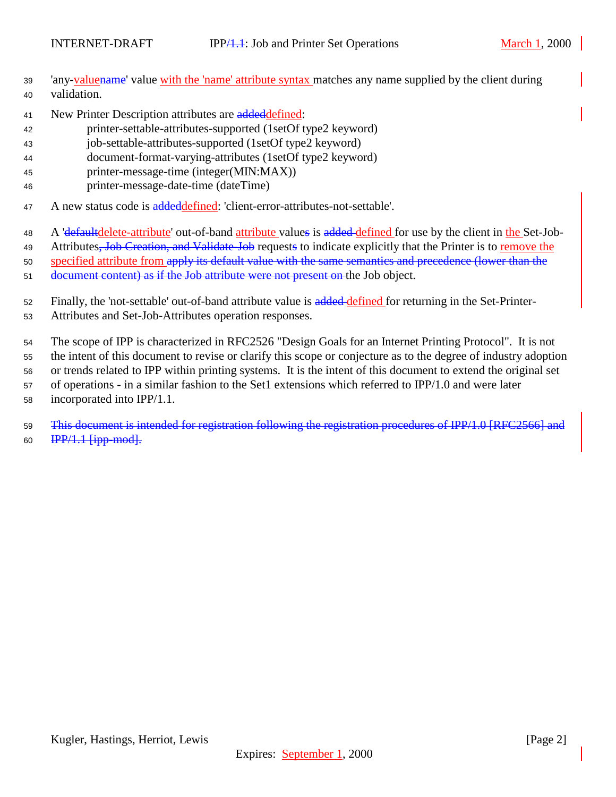- <sup>39</sup> 'any-valuename' value with the 'name' attribute syntax matches any name supplied by the client during <sup>40</sup> validation.
- 41 New Printer Description attributes are addeddefined:
- <sup>42</sup> printer-settable-attributes-supported (1setOf type2 keyword)
- <sup>43</sup> job-settable-attributes-supported (1setOf type2 keyword)
- <sup>44</sup> document-format-varying-attributes (1setOf type2 keyword)
- <sup>45</sup> printer-message-time (integer(MIN:MAX))
- <sup>46</sup> printer-message-date-time (dateTime)
- 47 A new status code is addeddefined: 'client-error-attributes-not-settable'.
- 48 A 'defaultdelete-attribute' out-of-band attribute values is added defined for use by the client in the Set-Job-
- 49 Attributes, Job Creation, and Validate-Job requests to indicate explicitly that the Printer is to remove the
- 50 specified attribute from apply its default value with the same semantics and precedence (lower than the
- <sup>51</sup> document content) as if the Job attribute were not present on the Job object.
- 52 Finally, the 'not-settable' out-of-band attribute value is added defined for returning in the Set-Printer-
- <sup>53</sup> Attributes and Set-Job-Attributes operation responses.
- <sup>54</sup> The scope of IPP is characterized in RFC2526 "Design Goals for an Internet Printing Protocol". It is not
- <sup>55</sup> the intent of this document to revise or clarify this scope or conjecture as to the degree of industry adoption
- <sup>56</sup> or trends related to IPP within printing systems. It is the intent of this document to extend the original set
- <sup>57</sup> of operations in a similar fashion to the Set1 extensions which referred to IPP/1.0 and were later <sup>58</sup> incorporated into IPP/1.1.
- <sup>59</sup> This document is intended for registration following the registration procedures of IPP/1.0 [RFC2566] and 60  $IPP/1.1$   $\{ipp\ mod\}$ .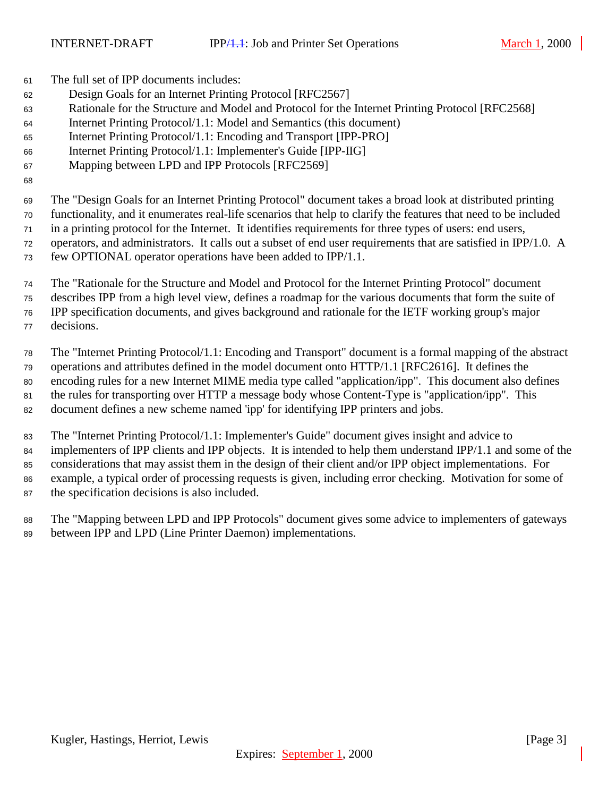The full set of IPP documents includes:

- Design Goals for an Internet Printing Protocol [RFC2567]
- Rationale for the Structure and Model and Protocol for the Internet Printing Protocol [RFC2568]
- Internet Printing Protocol/1.1: Model and Semantics (this document)
- Internet Printing Protocol/1.1: Encoding and Transport [IPP-PRO]
- Internet Printing Protocol/1.1: Implementer's Guide [IPP-IIG]
- Mapping between LPD and IPP Protocols [RFC2569]
- 

 The "Design Goals for an Internet Printing Protocol" document takes a broad look at distributed printing functionality, and it enumerates real-life scenarios that help to clarify the features that need to be included in a printing protocol for the Internet. It identifies requirements for three types of users: end users, operators, and administrators. It calls out a subset of end user requirements that are satisfied in IPP/1.0. A

- few OPTIONAL operator operations have been added to IPP/1.1.
- The "Rationale for the Structure and Model and Protocol for the Internet Printing Protocol" document
- describes IPP from a high level view, defines a roadmap for the various documents that form the suite of IPP specification documents, and gives background and rationale for the IETF working group's major
- decisions.

 The "Internet Printing Protocol/1.1: Encoding and Transport" document is a formal mapping of the abstract operations and attributes defined in the model document onto HTTP/1.1 [RFC2616]. It defines the encoding rules for a new Internet MIME media type called "application/ipp". This document also defines the rules for transporting over HTTP a message body whose Content-Type is "application/ipp". This document defines a new scheme named 'ipp' for identifying IPP printers and jobs.

 The "Internet Printing Protocol/1.1: Implementer's Guide" document gives insight and advice to implementers of IPP clients and IPP objects. It is intended to help them understand IPP/1.1 and some of the considerations that may assist them in the design of their client and/or IPP object implementations. For example, a typical order of processing requests is given, including error checking. Motivation for some of the specification decisions is also included.

 The "Mapping between LPD and IPP Protocols" document gives some advice to implementers of gateways between IPP and LPD (Line Printer Daemon) implementations.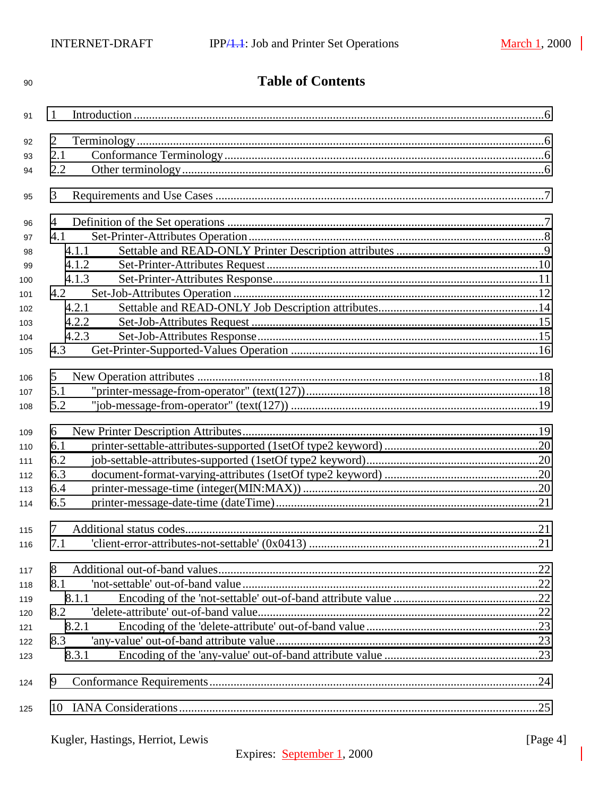| 90  | <b>Table of Contents</b>         |          |
|-----|----------------------------------|----------|
| 91  | 1                                |          |
| 92  | 2                                |          |
| 93  | 2.1                              |          |
| 94  | 2.2                              |          |
| 95  | 3                                |          |
| 96  | 4                                |          |
| 97  | 4.1                              |          |
| 98  | 4.1.1                            |          |
| 99  | 4.1.2                            |          |
| 100 | 4.1.3                            |          |
| 101 | 4.2                              |          |
| 102 | 4.2.1                            |          |
| 103 | 4.2.2                            |          |
| 104 | 4.2.3                            |          |
| 105 | 4.3                              |          |
| 106 | 5                                |          |
| 107 | 5.1                              |          |
| 108 | 5.2                              |          |
| 109 | 6                                |          |
| 110 | 6.1                              |          |
| 111 | 6.2                              |          |
| 112 | 6.3                              |          |
| 113 | 6.4                              |          |
| 114 | 6.5                              |          |
| 115 | 7                                |          |
| 116 | 7.1                              |          |
| 117 | 8                                |          |
| 118 | 8.1                              |          |
| 119 | 8.1.1                            |          |
| 120 | 8.2                              |          |
| 121 | 8.2.1                            |          |
| 122 | 8.3                              |          |
| 123 | 8.3.1                            |          |
| 124 | 9                                |          |
| 125 |                                  |          |
|     | Kugler, Hastings, Herriot, Lewis | [Page 4] |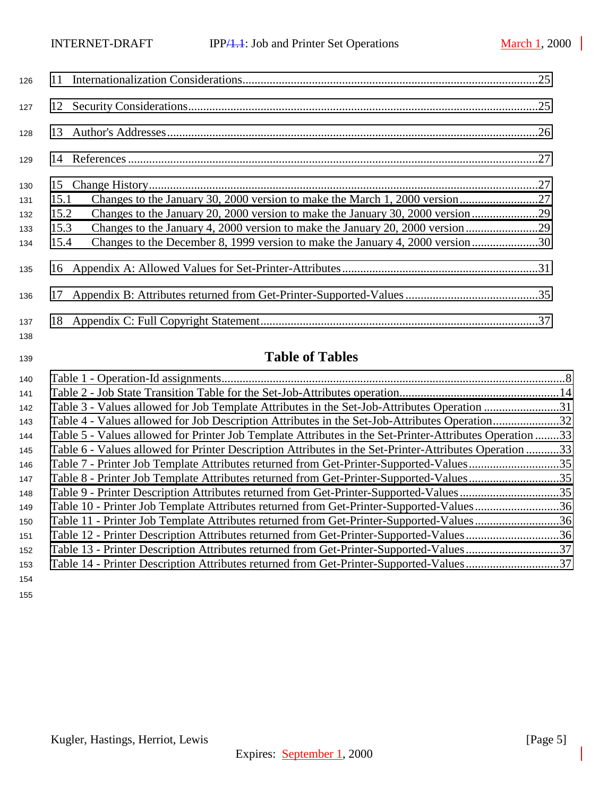| 126        |                                                                                       |  |
|------------|---------------------------------------------------------------------------------------|--|
| 127        |                                                                                       |  |
| 128        |                                                                                       |  |
| 129        |                                                                                       |  |
| 130        |                                                                                       |  |
| 131        | 15.1                                                                                  |  |
| 132        | 15.2                                                                                  |  |
| 133        | Changes to the January 4, 2000 version to make the January 20, 2000 version29<br>15.3 |  |
| 134        | 15.4                                                                                  |  |
| 135        |                                                                                       |  |
| 136        |                                                                                       |  |
| 137<br>138 |                                                                                       |  |

# **Table of Tables**

| 140 |                                                                                                         |  |
|-----|---------------------------------------------------------------------------------------------------------|--|
| 141 |                                                                                                         |  |
| 142 | Table 3 - Values allowed for Job Template Attributes in the Set-Job-Attributes Operation 31             |  |
| 143 | Table 4 - Values allowed for Job Description Attributes in the Set-Job-Attributes Operation32           |  |
| 144 | Table 5 - Values allowed for Printer Job Template Attributes in the Set-Printer-Attributes Operation 33 |  |
| 145 | Table 6 - Values allowed for Printer Description Attributes in the Set-Printer-Attributes Operation 33  |  |
| 146 | Table 7 - Printer Job Template Attributes returned from Get-Printer-Supported-Values35                  |  |
| 147 | Table 8 - Printer Job Template Attributes returned from Get-Printer-Supported-Values35                  |  |
| 148 | Table 9 - Printer Description Attributes returned from Get-Printer-Supported-Values35                   |  |
| 149 | Table 10 - Printer Job Template Attributes returned from Get-Printer-Supported-Values36                 |  |
| 150 | Table 11 - Printer Job Template Attributes returned from Get-Printer-Supported-Values36                 |  |
| 151 | Table 12 - Printer Description Attributes returned from Get-Printer-Supported-Values36                  |  |
| 152 | Table 13 - Printer Description Attributes returned from Get-Printer-Supported-Values37                  |  |
| 153 | Table 14 - Printer Description Attributes returned from Get-Printer-Supported-Values37                  |  |
| 154 |                                                                                                         |  |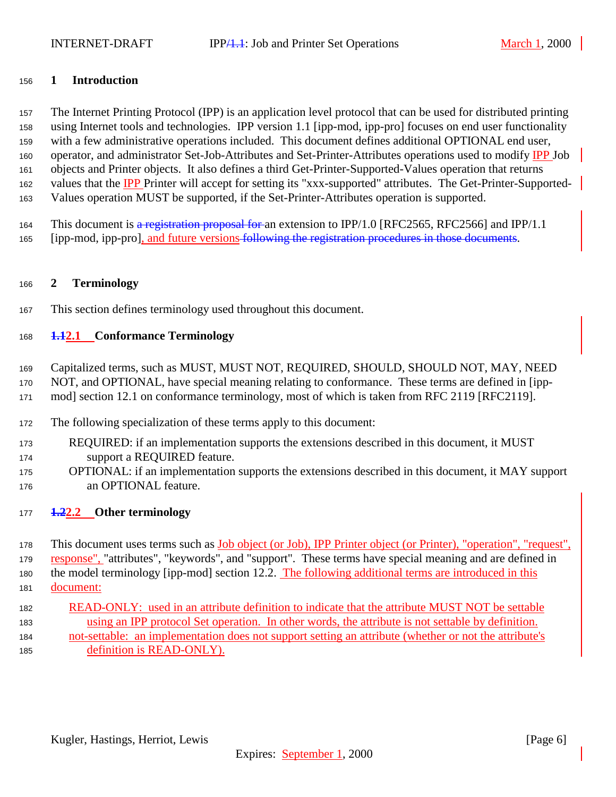#### <span id="page-5-0"></span>**1 Introduction**

 The Internet Printing Protocol (IPP) is an application level protocol that can be used for distributed printing using Internet tools and technologies. IPP version 1.1 [ipp-mod, ipp-pro] focuses on end user functionality with a few administrative operations included. This document defines additional OPTIONAL end user, 160 operator, and administrator Set-Job-Attributes and Set-Printer-Attributes operations used to modify IPP Job objects and Printer objects. It also defines a third Get-Printer-Supported-Values operation that returns 162 values that the IPP Printer will accept for setting its "xxx-supported" attributes. The Get-Printer-Supported-Values operation MUST be supported, if the Set-Printer-Attributes operation is supported.

This document is a registration proposal for an extension to IPP/1.0 [RFC2565, RFC2566] and IPP/1.1

[ipp-mod, ipp-pro], and future versions following the registration procedures in those documents.

## **2 Terminology**

This section defines terminology used throughout this document.

## **1.12.1 Conformance Terminology**

- Capitalized terms, such as MUST, MUST NOT, REQUIRED, SHOULD, SHOULD NOT, MAY, NEED
- NOT, and OPTIONAL, have special meaning relating to conformance. These terms are defined in [ipp-
- mod] section 12.1 on conformance terminology, most of which is taken from RFC 2119 [RFC2119].
- The following specialization of these terms apply to this document:
- REQUIRED: if an implementation supports the extensions described in this document, it MUST support a REQUIRED feature.
- OPTIONAL: if an implementation supports the extensions described in this document, it MAY support an OPTIONAL feature.
- **1.22.2 Other terminology**

 This document uses terms such as Job object (or Job), IPP Printer object (or Printer), "operation", "request", response", "attributes", "keywords", and "support". These terms have special meaning and are defined in the model terminology [ipp-mod] section 12.2. The following additional terms are introduced in this document:

 READ-ONLY: used in an attribute definition to indicate that the attribute MUST NOT be settable using an IPP protocol Set operation. In other words, the attribute is not settable by definition. not-settable: an implementation does not support setting an attribute (whether or not the attribute's definition is READ-ONLY).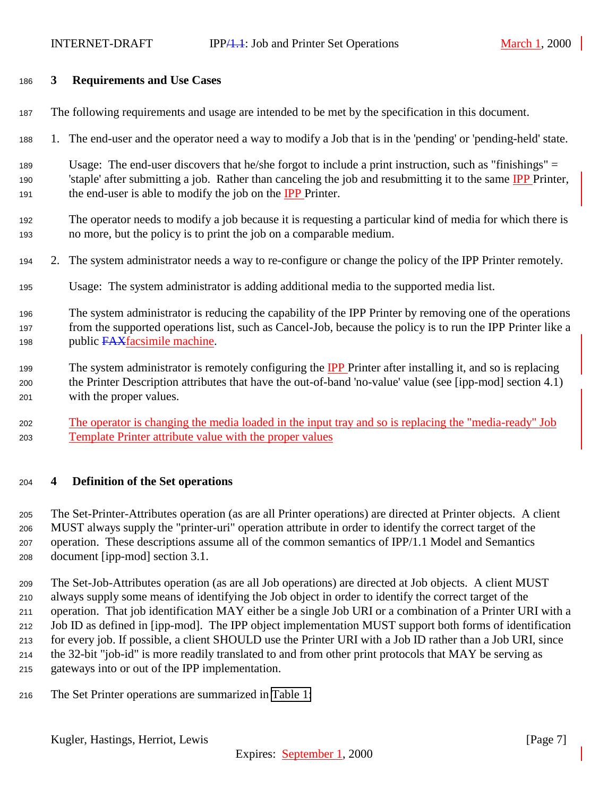#### <span id="page-6-0"></span>**3 Requirements and Use Cases**

- The following requirements and usage are intended to be met by the specification in this document.
- 1. The end-user and the operator need a way to modify a Job that is in the 'pending' or 'pending-held' state.
- Usage: The end-user discovers that he/she forgot to include a print instruction, such as "finishings" = 'staple' after submitting a job. Rather than canceling the job and resubmitting it to the same IPP Printer, 191 the end-user is able to modify the job on the **IPP** Printer.
- The operator needs to modify a job because it is requesting a particular kind of media for which there is no more, but the policy is to print the job on a comparable medium.
- 2. The system administrator needs a way to re-configure or change the policy of the IPP Printer remotely.
- Usage: The system administrator is adding additional media to the supported media list.
- The system administrator is reducing the capability of the IPP Printer by removing one of the operations from the supported operations list, such as Cancel-Job, because the policy is to run the IPP Printer like a 198 public FAXfacsimile machine.
- 199 The system administrator is remotely configuring the IPP Printer after installing it, and so is replacing the Printer Description attributes that have the out-of-band 'no-value' value (see [ipp-mod] section 4.1) with the proper values.
- The operator is changing the media loaded in the input tray and so is replacing the "media-ready" Job Template Printer attribute value with the proper values

#### **4 Definition of the Set operations**

 The Set-Printer-Attributes operation (as are all Printer operations) are directed at Printer objects. A client MUST always supply the "printer-uri" operation attribute in order to identify the correct target of the operation. These descriptions assume all of the common semantics of IPP/1.1 Model and Semantics document [ipp-mod] section 3.1.

 The Set-Job-Attributes operation (as are all Job operations) are directed at Job objects. A client MUST always supply some means of identifying the Job object in order to identify the correct target of the operation. That job identification MAY either be a single Job URI or a combination of a Printer URI with a Job ID as defined in [ipp-mod]. The IPP object implementation MUST support both forms of identification for every job. If possible, a client SHOULD use the Printer URI with a Job ID rather than a Job URI, since the 32-bit "job-id" is more readily translated to and from other print protocols that MAY be serving as gateways into or out of the IPP implementation.

The Set Printer operations are summarized in [Table 1:](#page-7-0)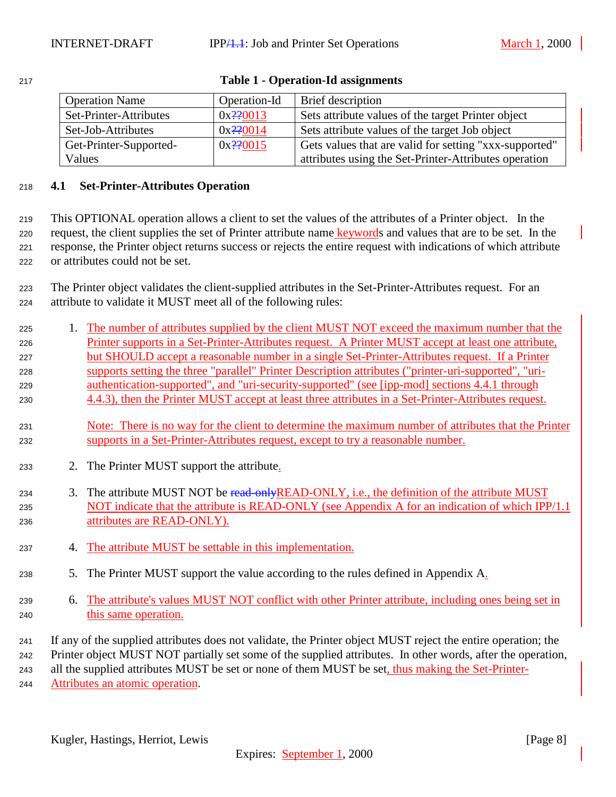| <b>Operation Name</b>  | Operation-Id  | <b>Brief</b> description                               |
|------------------------|---------------|--------------------------------------------------------|
| Set-Printer-Attributes | $0x^220013$   | Sets attribute values of the target Printer object     |
| Set-Job-Attributes     | $0x^2$ ? 0014 | Sets attribute values of the target Job object         |
| Get-Printer-Supported- | $0x^220015$   | Gets values that are valid for setting "xxx-supported" |
| Values                 |               | attributes using the Set-Printer-Attributes operation  |

#### <span id="page-7-0"></span>**Table 1 - Operation-Id assignments**

## **4.1 Set-Printer-Attributes Operation**

 This OPTIONAL operation allows a client to set the values of the attributes of a Printer object. In the 220 request, the client supplies the set of Printer attribute name keywords and values that are to be set. In the response, the Printer object returns success or rejects the entire request with indications of which attribute or attributes could not be set.

 The Printer object validates the client-supplied attributes in the Set-Printer-Attributes request. For an attribute to validate it MUST meet all of the following rules:

- 1. The number of attributes supplied by the client MUST NOT exceed the maximum number that the Printer supports in a Set-Printer-Attributes request. A Printer MUST accept at least one attribute, but SHOULD accept a reasonable number in a single Set-Printer-Attributes request. If a Printer supports setting the three "parallel" Printer Description attributes ("printer-uri-supported", "uri- authentication-supported", and "uri-security-supported" (see [ipp-mod] sections 4.4.1 through 4.4.3), then the Printer MUST accept at least three attributes in a Set-Printer-Attributes request.
- Note: There is no way for the client to determine the maximum number of attributes that the Printer supports in a Set-Printer-Attributes request, except to try a reasonable number.
- 2. The Printer MUST support the attribute.
- 234 3. The attribute MUST NOT be read-only READ-ONLY, i.e., the definition of the attribute MUST NOT indicate that the attribute is READ-ONLY (see Appendix A for an indication of which IPP/1.1 attributes are READ-ONLY).
- 4. The attribute MUST be settable in this implementation.
- 5. The Printer MUST support the value according to the rules defined in Appendix A.
- 6. The attribute's values MUST NOT conflict with other Printer attribute, including ones being set in 240 this same operation.

If any of the supplied attributes does not validate, the Printer object MUST reject the entire operation; the

 Printer object MUST NOT partially set some of the supplied attributes. In other words, after the operation, 243 all the supplied attributes MUST be set or none of them MUST be set, thus making the Set-Printer-

Attributes an atomic operation.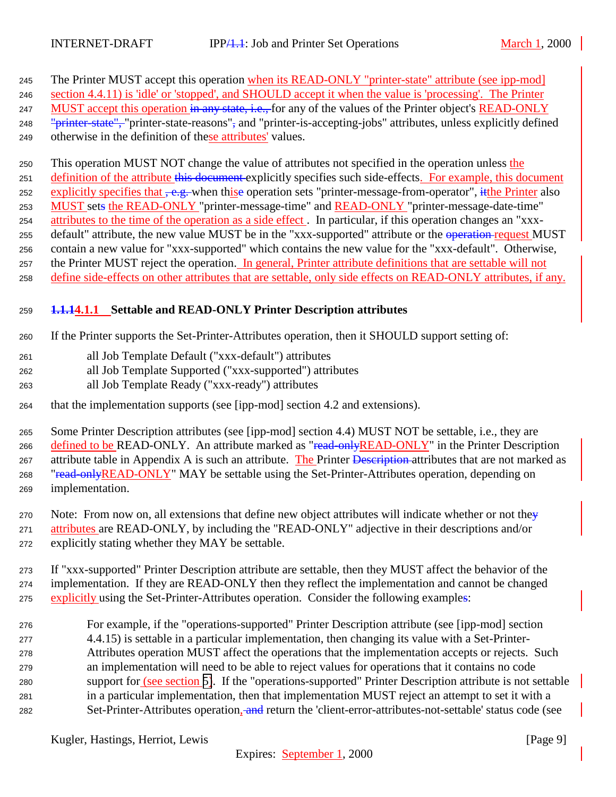<span id="page-8-0"></span>245 The Printer MUST accept this operation when its READ-ONLY "printer-state" attribute (see ipp-mod]

 section 4.4.11) is 'idle' or 'stopped', and SHOULD accept it when the value is 'processing'. The Printer 247 MUST accept this operation in any state, i.e., for any of the values of the Printer object's READ-ONLY

248 "<del>printer-state",</del> "printer-state-reasons", and "printer-is-accepting-jobs" attributes, unless explicitly defined

otherwise in the definition of these attributes' values.

 This operation MUST NOT change the value of attributes not specified in the operation unless the 251 definition of the attribute this document explicitly specifies such side-effects. For example, this document 252 explicitly specifies that  $\frac{1}{2}$ , when thise operation sets "printer-message-from-operator", it the Printer also MUST sets the READ-ONLY "printer-message-time" and READ-ONLY "printer-message-date-time" attributes to the time of the operation as a side effect . In particular, if this operation changes an "xxx-255 default" attribute, the new value MUST be in the "xxx-supported" attribute or the operation-request MUST contain a new value for "xxx-supported" which contains the new value for the "xxx-default". Otherwise, the Printer MUST reject the operation. In general, Printer attribute definitions that are settable will not define side-effects on other attributes that are settable, only side effects on READ-ONLY attributes, if any.

# **1.1.14.1.1 Settable and READ-ONLY Printer Description attributes**

If the Printer supports the Set-Printer-Attributes operation, then it SHOULD support setting of:

- all Job Template Default ("xxx-default") attributes
- all Job Template Supported ("xxx-supported") attributes
- all Job Template Ready ("xxx-ready") attributes
- that the implementation supports (see [ipp-mod] section 4.2 and extensions).

 Some Printer Description attributes (see [ipp-mod] section 4.4) MUST NOT be settable, i.e., they are 266 defined to be READ-ONLY. An attribute marked as "read-only READ-ONLY" in the Printer Description 267 attribute table in Appendix A is such an attribute. The Printer Description attributes that are not marked as 268 "read-onlyREAD-ONLY" MAY be settable using the Set-Printer-Attributes operation, depending on implementation.

270 Note: From now on, all extensions that define new object attributes will indicate whether or not they 271 attributes are READ-ONLY, by including the "READ-ONLY" adjective in their descriptions and/or explicitly stating whether they MAY be settable.

 If "xxx-supported" Printer Description attribute are settable, then they MUST affect the behavior of the implementation. If they are READ-ONLY then they reflect the implementation and cannot be changed explicitly using the Set-Printer-Attributes operation. Consider the following examples:

 For example, if the "operations-supported" Printer Description attribute (see [ipp-mod] section 4.4.15) is settable in a particular implementation, then changing its value with a Set-Printer- Attributes operation MUST affect the operations that the implementation accepts or rejects. Such an implementation will need to be able to reject values for operations that it contains no code support for (see section [5\)](#page-15-0). If the "operations-supported" Printer Description attribute is not settable in a particular implementation, then that implementation MUST reject an attempt to set it with a 282 Set-Printer-Attributes operation, and return the 'client-error-attributes-not-settable' status code (see

Kugler, Hastings, Herriot, Lewis [Page 9]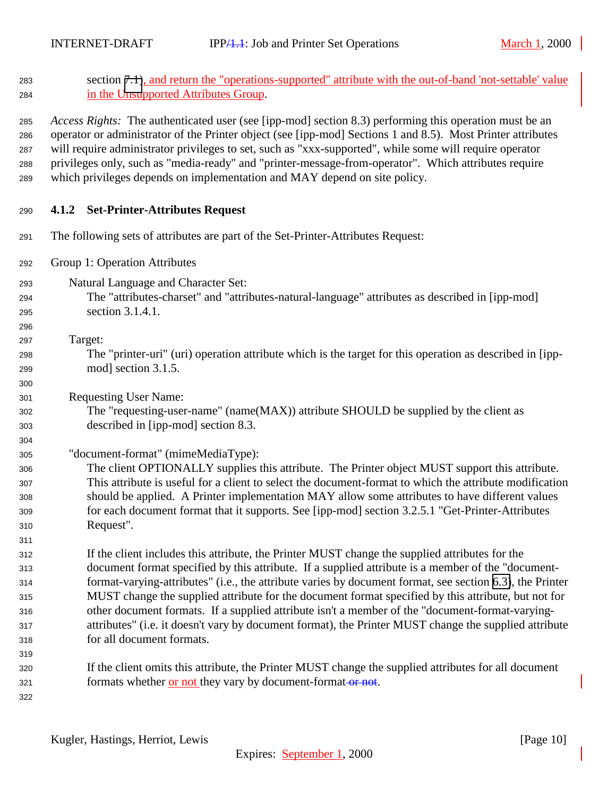<span id="page-9-0"></span>

| 283<br>284                                           | section 7.1), and return the "operations-supported" attribute with the out-of-band 'not-settable' value<br>in the Unsupported Attributes Group.                                                                                                                                                                                                                                                                                                                                                                                                                                                                                                                  |
|------------------------------------------------------|------------------------------------------------------------------------------------------------------------------------------------------------------------------------------------------------------------------------------------------------------------------------------------------------------------------------------------------------------------------------------------------------------------------------------------------------------------------------------------------------------------------------------------------------------------------------------------------------------------------------------------------------------------------|
| 285<br>286<br>287<br>288<br>289                      | Access Rights: The authenticated user (see [ipp-mod] section 8.3) performing this operation must be an<br>operator or administrator of the Printer object (see [ipp-mod] Sections 1 and 8.5). Most Printer attributes<br>will require administrator privileges to set, such as "xxx-supported", while some will require operator<br>privileges only, such as "media-ready" and "printer-message-from-operator". Which attributes require<br>which privileges depends on implementation and MAY depend on site policy.                                                                                                                                            |
| 290                                                  | <b>Set-Printer-Attributes Request</b><br>4.1.2                                                                                                                                                                                                                                                                                                                                                                                                                                                                                                                                                                                                                   |
| 291                                                  | The following sets of attributes are part of the Set-Printer-Attributes Request:                                                                                                                                                                                                                                                                                                                                                                                                                                                                                                                                                                                 |
| 292                                                  | Group 1: Operation Attributes                                                                                                                                                                                                                                                                                                                                                                                                                                                                                                                                                                                                                                    |
| 293<br>294<br>295<br>296                             | Natural Language and Character Set:<br>The "attributes-charset" and "attributes-natural-language" attributes as described in [ipp-mod]<br>section 3.1.4.1.                                                                                                                                                                                                                                                                                                                                                                                                                                                                                                       |
| 297<br>298<br>299<br>300                             | Target:<br>The "printer-uri" (uri) operation attribute which is the target for this operation as described in [ipp-<br>mod] section 3.1.5.                                                                                                                                                                                                                                                                                                                                                                                                                                                                                                                       |
| 301<br>302<br>303<br>304                             | <b>Requesting User Name:</b><br>The "requesting-user-name" (name(MAX)) attribute SHOULD be supplied by the client as<br>described in [ipp-mod] section 8.3.                                                                                                                                                                                                                                                                                                                                                                                                                                                                                                      |
| 305<br>306<br>307<br>308<br>309<br>310               | "document-format" (mimeMediaType):<br>The client OPTIONALLY supplies this attribute. The Printer object MUST support this attribute.<br>This attribute is useful for a client to select the document-format to which the attribute modification<br>should be applied. A Printer implementation MAY allow some attributes to have different values<br>for each document format that it supports. See [ipp-mod] section 3.2.5.1 "Get-Printer-Attributes<br>Request".                                                                                                                                                                                               |
| 311<br>312<br>313<br>314<br>315<br>316<br>317<br>318 | If the client includes this attribute, the Printer MUST change the supplied attributes for the<br>document format specified by this attribute. If a supplied attribute is a member of the "document-<br>format-varying-attributes" (i.e., the attribute varies by document format, see section 6.3), the Printer<br>MUST change the supplied attribute for the document format specified by this attribute, but not for<br>other document formats. If a supplied attribute isn't a member of the "document-format-varying-<br>attributes" (i.e. it doesn't vary by document format), the Printer MUST change the supplied attribute<br>for all document formats. |
| 319<br>320<br>321<br>322                             | If the client omits this attribute, the Printer MUST change the supplied attributes for all document<br>formats whether or not they vary by document-format-or not.                                                                                                                                                                                                                                                                                                                                                                                                                                                                                              |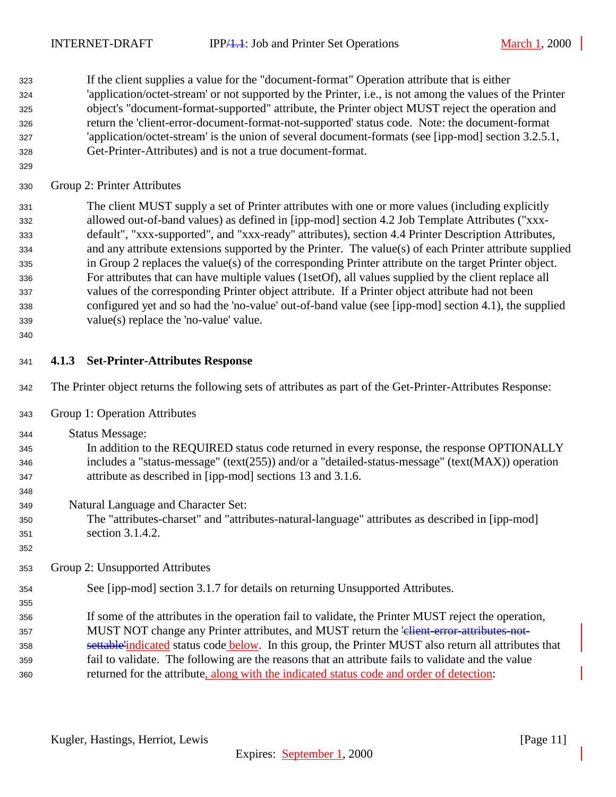<span id="page-10-0"></span> If the client supplies a value for the "document-format" Operation attribute that is either 'application/octet-stream' or not supported by the Printer, i.e., is not among the values of the Printer object's "document-format-supported" attribute, the Printer object MUST reject the operation and return the 'client-error-document-format-not-supported' status code. Note: the document-format 'application/octet-stream' is the union of several document-formats (see [ipp-mod] section 3.2.5.1, Get-Printer-Attributes) and is not a true document-format.

Group 2: Printer Attributes

 The client MUST supply a set of Printer attributes with one or more values (including explicitly allowed out-of-band values) as defined in [ipp-mod] section 4.2 Job Template Attributes ("xxx- default", "xxx-supported", and "xxx-ready" attributes), section 4.4 Printer Description Attributes, and any attribute extensions supported by the Printer. The value(s) of each Printer attribute supplied in Group 2 replaces the value(s) of the corresponding Printer attribute on the target Printer object. For attributes that can have multiple values (1setOf), all values supplied by the client replace all values of the corresponding Printer object attribute. If a Printer object attribute had not been configured yet and so had the 'no-value' out-of-band value (see [ipp-mod] section 4.1), the supplied value(s) replace the 'no-value' value.

#### **4.1.3 Set-Printer-Attributes Response**

- The Printer object returns the following sets of attributes as part of the Get-Printer-Attributes Response:
- Group 1: Operation Attributes
- Status Message:
- In addition to the REQUIRED status code returned in every response, the response OPTIONALLY includes a "status-message" (text(255)) and/or a "detailed-status-message" (text(MAX)) operation attribute as described in [ipp-mod] sections 13 and 3.1.6.
- Natural Language and Character Set:
- The "attributes-charset" and "attributes-natural-language" attributes as described in [ipp-mod] section 3.1.4.2.
- Group 2: Unsupported Attributes
- See [ipp-mod] section 3.1.7 for details on returning Unsupported Attributes.
- If some of the attributes in the operation fail to validate, the Printer MUST reject the operation, 357 MUST NOT change any Printer attributes, and MUST return the 'client-error-attributes-not-358 settable indicated status code below. In this group, the Printer MUST also return all attributes that fail to validate. The following are the reasons that an attribute fails to validate and the value returned for the attribute, along with the indicated status code and order of detection: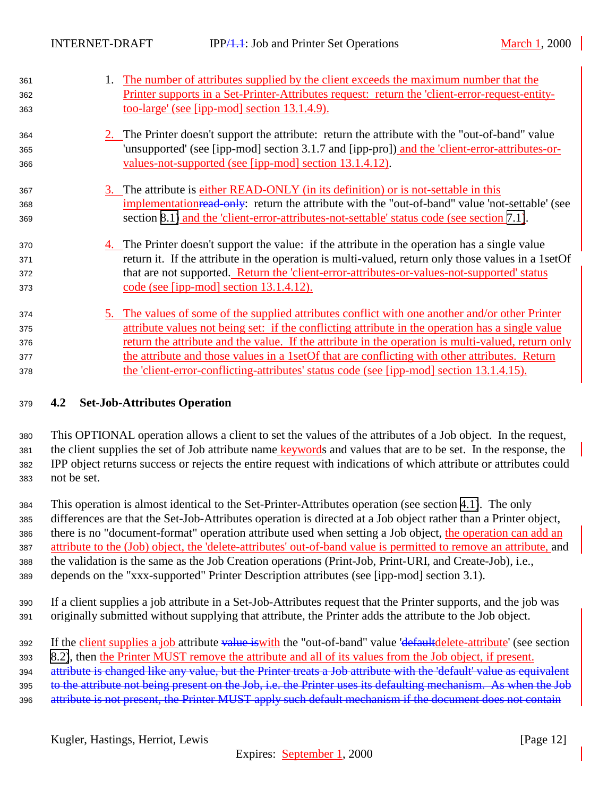<span id="page-11-0"></span>

| 361 | 1. The number of attributes supplied by the client exceeds the maximum number that the              |
|-----|-----------------------------------------------------------------------------------------------------|
| 362 | Printer supports in a Set-Printer-Attributes request: return the 'client-error-request-entity-      |
| 363 | <u>too-large' (see [ipp-mod] section 13.1.4.9).</u>                                                 |
| 364 | 2. The Printer doesn't support the attribute: return the attribute with the "out-of-band" value     |
| 365 | 'unsupported' (see [ipp-mod] section 3.1.7 and [ipp-pro]) and the 'client-error-attributes-or-      |
| 366 | <u>values-not-supported (see [ipp-mod] section 13.1.4.12)</u> .                                     |
| 367 | <u>3.</u> The attribute is either READ-ONLY (in its definition) or is not-settable in this          |
| 368 | implementation read only: return the attribute with the "out-of-band" value 'not-settable' (see     |
| 369 | section 8.1) and the 'client-error-attributes-not-settable' status code (see section 7.1).          |
| 370 | 4. The Printer doesn't support the value: if the attribute in the operation has a single value      |
| 371 | return it. If the attribute in the operation is multi-valued, return only those values in a 1set Of |
| 372 | that are not supported. Return the 'client-error-attributes-or-values-not-supported' status         |
| 373 | code (see [ipp-mod] section $13.1.4.12$ ).                                                          |
| 374 | 5. The values of some of the supplied attributes conflict with one another and/or other Printer     |
| 375 | attribute values not being set: if the conflicting attribute in the operation has a single value    |
| 376 | return the attribute and the value. If the attribute in the operation is multi-valued, return only  |
| 377 | the attribute and those values in a 1set Of that are conflicting with other attributes. Return      |
| 378 | <u>the 'client-error-conflicting-attributes' status code (see [ipp-mod] section 13.1.4.15).</u>     |

## <sup>379</sup> **4.2 Set-Job-Attributes Operation**

 This OPTIONAL operation allows a client to set the values of the attributes of a Job object. In the request, the client supplies the set of Job attribute name keywords and values that are to be set. In the response, the IPP object returns success or rejects the entire request with indications of which attribute or attributes could not be set.

 This operation is almost identical to the Set-Printer-Attributes operation (see section [4.1\)](#page-7-0). The only differences are that the Set-Job-Attributes operation is directed at a Job object rather than a Printer object, there is no "document-format" operation attribute used when setting a Job object, the operation can add an attribute to the (Job) object, the 'delete-attributes' out-of-band value is permitted to remove an attribute, and the validation is the same as the Job Creation operations (Print-Job, Print-URI, and Create-Job), i.e., depends on the "xxx-supported" Printer Description attributes (see [ipp-mod] section 3.1).

<sup>390</sup> If a client supplies a job attribute in a Set-Job-Attributes request that the Printer supports, and the job was <sup>391</sup> originally submitted without supplying that attribute, the Printer adds the attribute to the Job object.

392 If the client supplies a job attribute value is with the "out-of-band" value 'defaultdelete-attribute' (see section

<sup>393</sup> [8.2\)](#page-21-0), then the Printer MUST remove the attribute and all of its values from the Job object, if present.

394 attribute is changed like any value, but the Printer treats a Job attribute with the 'default' value as equivalent

395 to the attribute not being present on the Job, i.e. the Printer uses its defaulting mechanism. As when the Job

396 attribute is not present, the Printer MUST apply such default mechanism if the document does not contain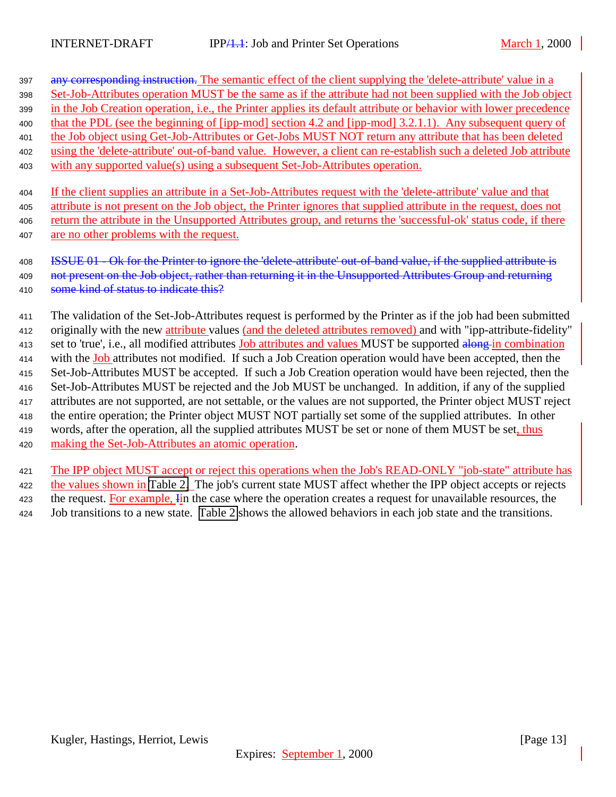397 any corresponding instruction. The semantic effect of the client supplying the 'delete-attribute' value in a Set-Job-Attributes operation MUST be the same as if the attribute had not been supplied with the Job object in the Job Creation operation, i.e., the Printer applies its default attribute or behavior with lower precedence that the PDL (see the beginning of [ipp-mod] section 4.2 and [ipp-mod] 3.2.1.1). Any subsequent query of the Job object using Get-Job-Attributes or Get-Jobs MUST NOT return any attribute that has been deleted using the 'delete-attribute' out-of-band value. However, a client can re-establish such a deleted Job attribute with any supported value(s) using a subsequent Set-Job-Attributes operation.

 If the client supplies an attribute in a Set-Job-Attributes request with the 'delete-attribute' value and that attribute is not present on the Job object, the Printer ignores that supplied attribute in the request, does not return the attribute in the Unsupported Attributes group, and returns the 'successful-ok' status code, if there are no other problems with the request.

## 408 ISSUE 01 - Ok for the Printer to ignore the 'delete-attribute' out-of-band value, if the supplied attribute is 409 not present on the Job object, rather than returning it in the Unsupported Attributes Group and returning 410 some kind of status to indicate this?

 The validation of the Set-Job-Attributes request is performed by the Printer as if the job had been submitted originally with the new attribute values (and the deleted attributes removed) and with "ipp-attribute-fidelity" 413 set to 'true', i.e., all modified attributes Job attributes and values MUST be supported along in combination 414 with the Job attributes not modified. If such a Job Creation operation would have been accepted, then the Set-Job-Attributes MUST be accepted. If such a Job Creation operation would have been rejected, then the Set-Job-Attributes MUST be rejected and the Job MUST be unchanged. In addition, if any of the supplied attributes are not supported, are not settable, or the values are not supported, the Printer object MUST reject the entire operation; the Printer object MUST NOT partially set some of the supplied attributes. In other 419 words, after the operation, all the supplied attributes MUST be set or none of them MUST be set, thus making the Set-Job-Attributes an atomic operation.

 The IPP object MUST accept or reject this operations when the Job's READ-ONLY "job-state" attribute has the values shown in [Table 2.](#page-13-0) The job's current state MUST affect whether the IPP object accepts or rejects 423 the request. For example, In the case where the operation creates a request for unavailable resources, the Job transitions to a new state. [Table 2](#page-13-0) shows the allowed behaviors in each job state and the transitions.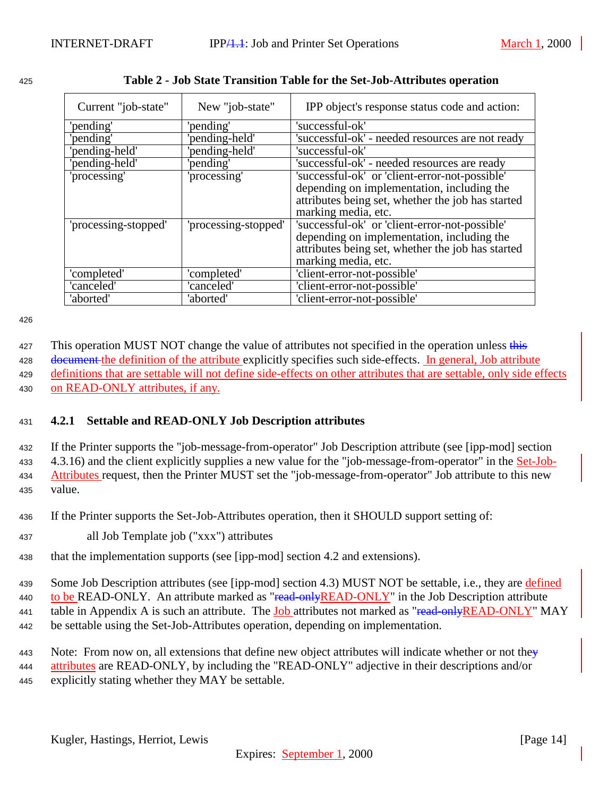| Current "job-state"  | New "job-state"      | IPP object's response status code and action:                                                                                                                            |  |  |
|----------------------|----------------------|--------------------------------------------------------------------------------------------------------------------------------------------------------------------------|--|--|
| 'pending'            | 'pending'            | 'successful-ok'                                                                                                                                                          |  |  |
| 'pending'            | 'pending-held'       | 'successful-ok' - needed resources are not ready                                                                                                                         |  |  |
| 'pending-held'       | 'pending-held'       | 'successful-ok'                                                                                                                                                          |  |  |
| 'pending-held'       | 'pending'            | 'successful-ok' - needed resources are ready                                                                                                                             |  |  |
| 'processing'         | 'processing'         | 'successful-ok' or 'client-error-not-possible'<br>depending on implementation, including the<br>attributes being set, whether the job has started<br>marking media, etc. |  |  |
| 'processing-stopped' | 'processing-stopped' | 'successful-ok' or 'client-error-not-possible'<br>depending on implementation, including the<br>attributes being set, whether the job has started<br>marking media, etc. |  |  |
| 'completed'          | 'completed'          | 'client-error-not-possible'                                                                                                                                              |  |  |
| 'canceled'           | 'canceled'           | 'client-error-not-possible'                                                                                                                                              |  |  |
| 'aborted'            | 'aborted'            | 'client-error-not-possible'                                                                                                                                              |  |  |

<span id="page-13-0"></span>

| 425 |  |  | Table 2 - Job State Transition Table for the Set-Job-Attributes operation |  |
|-----|--|--|---------------------------------------------------------------------------|--|
|     |  |  |                                                                           |  |

427 This operation MUST NOT change the value of attributes not specified in the operation unless this 428 document the definition of the attribute explicitly specifies such side-effects. In general, Job attribute <sup>429</sup> definitions that are settable will not define side-effects on other attributes that are settable, only side effects <sup>430</sup> on READ-ONLY attributes, if any.

## <sup>431</sup> **4.2.1 Settable and READ-ONLY Job Description attributes**

 If the Printer supports the "job-message-from-operator" Job Description attribute (see [ipp-mod] section 4.3.16) and the client explicitly supplies a new value for the "job-message-from-operator" in the Set-Job- Attributes request, then the Printer MUST set the "job-message-from-operator" Job attribute to this new <sup>435</sup> value.

<sup>436</sup> If the Printer supports the Set-Job-Attributes operation, then it SHOULD support setting of:

<sup>437</sup> all Job Template job ("xxx") attributes

<sup>438</sup> that the implementation supports (see [ipp-mod] section 4.2 and extensions).

<sup>439</sup> Some Job Description attributes (see [ipp-mod] section 4.3) MUST NOT be settable, i.e., they are defined 440 to be READ-ONLY. An attribute marked as "read-only READ-ONLY" in the Job Description attribute 441 table in Appendix A is such an attribute. The Job attributes not marked as "read-only READ-ONLY" MAY <sup>442</sup> be settable using the Set-Job-Attributes operation, depending on implementation.

443 Note: From now on, all extensions that define new object attributes will indicate whether or not they <sup>444</sup> attributes are READ-ONLY, by including the "READ-ONLY" adjective in their descriptions and/or <sup>445</sup> explicitly stating whether they MAY be settable.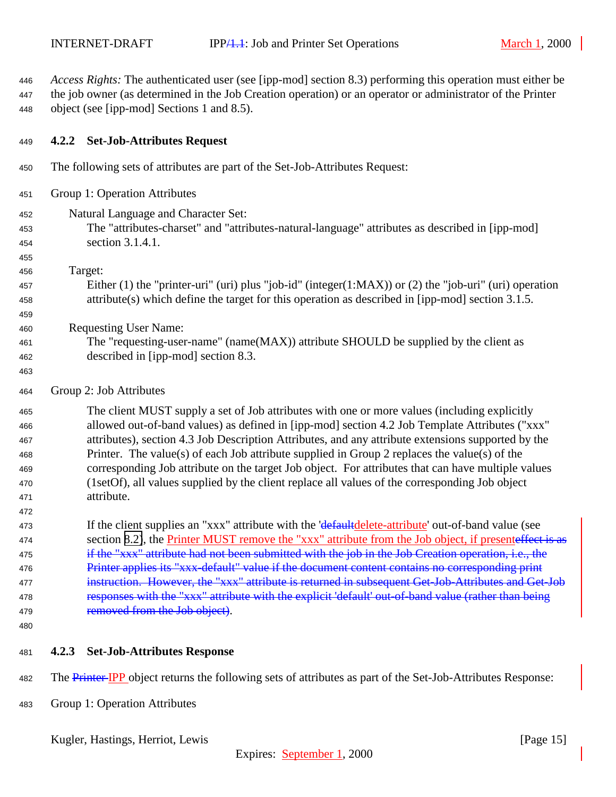<span id="page-14-0"></span> *Access Rights:* The authenticated user (see [ipp-mod] section 8.3) performing this operation must either be the job owner (as determined in the Job Creation operation) or an operator or administrator of the Printer object (see [ipp-mod] Sections 1 and 8.5).

#### **4.2.2 Set-Job-Attributes Request**

- The following sets of attributes are part of the Set-Job-Attributes Request:
- Group 1: Operation Attributes
- Natural Language and Character Set:
- The "attributes-charset" and "attributes-natural-language" attributes as described in [ipp-mod] section 3.1.4.1.
- Target:

- Either (1) the "printer-uri" (uri) plus "job-id" (integer(1:MAX)) or (2) the "job-uri" (uri) operation attribute(s) which define the target for this operation as described in [ipp-mod] section 3.1.5.
- Requesting User Name:
- The "requesting-user-name" (name(MAX)) attribute SHOULD be supplied by the client as described in [ipp-mod] section 8.3.
- 
- Group 2: Job Attributes

 The client MUST supply a set of Job attributes with one or more values (including explicitly allowed out-of-band values) as defined in [ipp-mod] section 4.2 Job Template Attributes ("xxx" attributes), section 4.3 Job Description Attributes, and any attribute extensions supported by the Printer. The value(s) of each Job attribute supplied in Group 2 replaces the value(s) of the corresponding Job attribute on the target Job object. For attributes that can have multiple values (1setOf), all values supplied by the client replace all values of the corresponding Job object attribute.

473 If the client supplies an "xxx" attribute with the 'defaultdelete-attribute' out-of-band value (see 474 section [8.2\)](#page-21-0), the **Printer MUST** remove the "xxx" attribute from the Job object, if presenteffect is as 475 if the "xxx" attribute had not been submitted with the job in the Job Creation operation, i.e., the 476 Printer applies its "xxx-default" value if the document content contains no corresponding print instruction. However, the "xxx" attribute is returned in subsequent Get-Job-Attributes and Get-Job 478 responses with the "xxx" attribute with the explicit 'default' out-of-band value (rather than being 479 removed from the Job object).

- **4.2.3 Set-Job-Attributes Response**
- 482 The Printer-IPP object returns the following sets of attributes as part of the Set-Job-Attributes Response:
- Group 1: Operation Attributes

Kugler, Hastings, Herriot, Lewis [Page 15]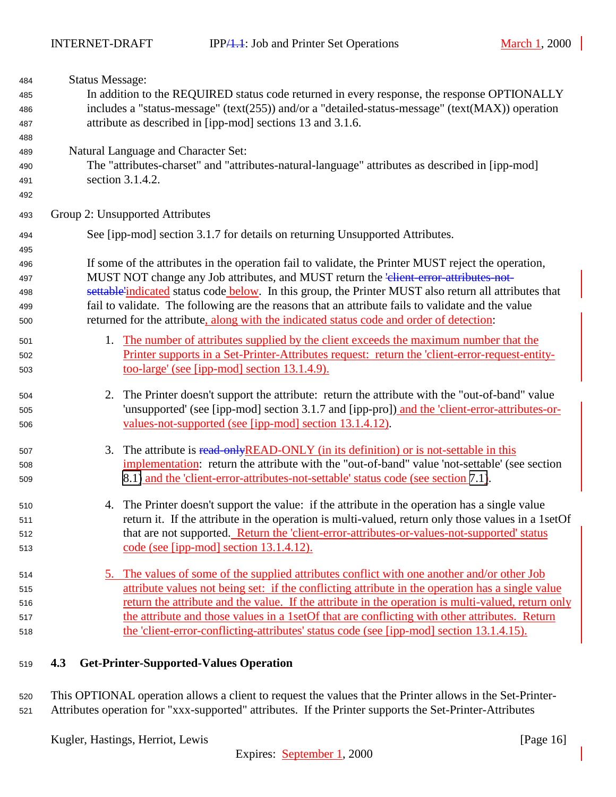<span id="page-15-0"></span>

| 484 | <b>Status Message:</b>                                                                                |
|-----|-------------------------------------------------------------------------------------------------------|
| 485 | In addition to the REQUIRED status code returned in every response, the response OPTIONALLY           |
| 486 | includes a "status-message" (text(255)) and/or a "detailed-status-message" (text(MAX)) operation      |
| 487 | attribute as described in [ipp-mod] sections 13 and 3.1.6.                                            |
| 488 |                                                                                                       |
| 489 | Natural Language and Character Set:                                                                   |
| 490 | The "attributes-charset" and "attributes-natural-language" attributes as described in [ipp-mod]       |
| 491 | section 3.1.4.2.                                                                                      |
| 492 |                                                                                                       |
| 493 | Group 2: Unsupported Attributes                                                                       |
| 494 | See [ipp-mod] section 3.1.7 for details on returning Unsupported Attributes.                          |
| 495 |                                                                                                       |
| 496 | If some of the attributes in the operation fail to validate, the Printer MUST reject the operation,   |
| 497 | MUST NOT change any Job attributes, and MUST return the 'elient-error-attributes-not-                 |
| 498 | settable'indicated status code below. In this group, the Printer MUST also return all attributes that |
| 499 | fail to validate. The following are the reasons that an attribute fails to validate and the value     |
| 500 | returned for the attribute, along with the indicated status code and order of detection:              |
| 501 | 1. The number of attributes supplied by the client exceeds the maximum number that the                |
| 502 | Printer supports in a Set-Printer-Attributes request: return the 'client-error-request-entity-        |
| 503 | <u>too-large' (see [ipp-mod] section 13.1.4.9).</u>                                                   |
| 504 | 2. The Printer doesn't support the attribute: return the attribute with the "out-of-band" value       |
| 505 | 'unsupported' (see [ipp-mod] section 3.1.7 and [ipp-pro]) and the 'client-error-attributes-or-        |
| 506 | <u>values-not-supported (see [ipp-mod] section 13.1.4.12)</u> .                                       |
| 507 | The attribute is read-only READ-ONLY (in its definition) or is not-settable in this<br>3.             |
| 508 | implementation: return the attribute with the "out-of-band" value 'not-settable' (see section         |
| 509 | 8.1) and the 'client-error-attributes-not-settable' status code (see section 7.1).                    |
| 510 | 4. The Printer doesn't support the value: if the attribute in the operation has a single value        |
| 511 | return it. If the attribute in the operation is multi-valued, return only those values in a 1set Of   |
| 512 | that are not supported. Return the 'client-error-attributes-or-values-not-supported' status           |
| 513 | code (see [ipp-mod] section 13.1.4.12).                                                               |
| 514 | 5. The values of some of the supplied attributes conflict with one another and/or other Job           |
| 515 | attribute values not being set: if the conflicting attribute in the operation has a single value      |
| 516 | return the attribute and the value. If the attribute in the operation is multi-valued, return only    |
| 517 | the attribute and those values in a 1set Of that are conflicting with other attributes. Return        |
| 518 | the 'client-error-conflicting-attributes' status code (see [ipp-mod] section 13.1.4.15).              |

**4.3 Get-Printer-Supported-Values Operation**

 This OPTIONAL operation allows a client to request the values that the Printer allows in the Set-Printer-Attributes operation for "xxx-supported" attributes. If the Printer supports the Set-Printer-Attributes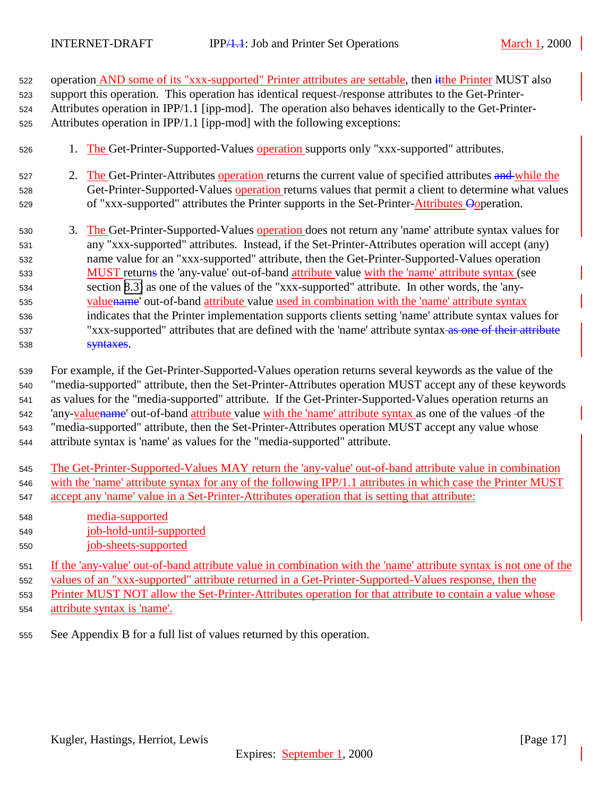| 522 | operation AND some of its "xxx-supported" Printer attributes are settable, then it the Printer MUST also |
|-----|----------------------------------------------------------------------------------------------------------|
| 523 | support this operation. This operation has identical request-/response attributes to the Get-Printer-    |
| 524 | Attributes operation in IPP/1.1 [ipp-mod]. The operation also behaves identically to the Get-Printer-    |
| 525 | Attributes operation in IPP/1.1 [ipp-mod] with the following exceptions:                                 |
| 526 | 1. The Get-Printer-Supported-Values operation supports only "xxx-supported" attributes.                  |
| 527 | 2. The Get-Printer-Attributes operation returns the current value of specified attributes and while the  |
| 528 | Get-Printer-Supported-Values operation returns values that permit a client to determine what values      |
| 529 | of "xxx-supported" attributes the Printer supports in the Set-Printer-Attributes Opperation.             |
| 530 | 3. The Get-Printer-Supported-Values operation does not return any 'name' attribute syntax values for     |
| 531 | any "xxx-supported" attributes. Instead, if the Set-Printer-Attributes operation will accept (any)       |
| 532 | name value for an "xxx-supported" attribute, then the Get-Printer-Supported-Values operation             |
| 533 | MUST returns the 'any-value' out-of-band attribute value with the 'name' attribute syntax (see           |
| 534 | section 8.3) as one of the values of the "xxx-supported" attribute. In other words, the 'any-            |
| 535 | valuename' out-of-band attribute value used in combination with the 'name' attribute syntax              |
| 536 | indicates that the Printer implementation supports clients setting 'name' attribute syntax values for    |
| 537 | "xxx-supported" attributes that are defined with the 'name' attribute syntax as one of their attribute   |
| 538 | syntaxes.                                                                                                |
|     |                                                                                                          |

 For example, if the Get-Printer-Supported-Values operation returns several keywords as the value of the "media-supported" attribute, then the Set-Printer-Attributes operation MUST accept any of these keywords as values for the "media-supported" attribute. If the Get-Printer-Supported-Values operation returns an 'any-valuename' out-of-band attribute value with the 'name' attribute syntax as one of the values of the "media-supported" attribute, then the Set-Printer-Attributes operation MUST accept any value whose attribute syntax is 'name' as values for the "media-supported" attribute.

- The Get-Printer-Supported-Values MAY return the 'any-value' out-of-band attribute value in combination with the 'name' attribute syntax for any of the following IPP/1.1 attributes in which case the Printer MUST accept any 'name' value in a Set-Printer-Attributes operation that is setting that attribute:
- media-supported job-hold-until-supported
- job-sheets-supported

 If the 'any-value' out-of-band attribute value in combination with the 'name' attribute syntax is not one of the values of an "xxx-supported" attribute returned in a Get-Printer-Supported-Values response, then the Printer MUST NOT allow the Set-Printer-Attributes operation for that attribute to contain a value whose attribute syntax is 'name'.

See Appendix B for a full list of values returned by this operation.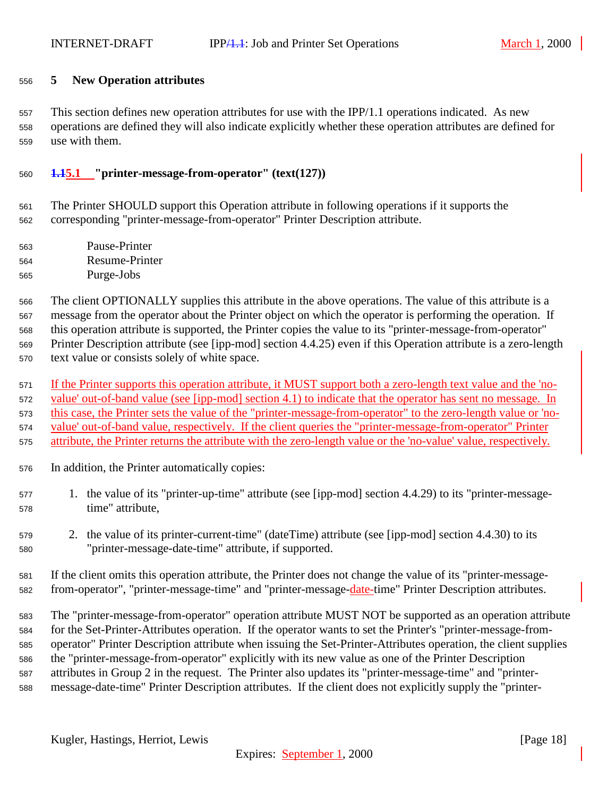#### <span id="page-17-0"></span>**5 New Operation attributes**

 This section defines new operation attributes for use with the IPP/1.1 operations indicated. As new operations are defined they will also indicate explicitly whether these operation attributes are defined for use with them.

#### **1.15.1 "printer-message-from-operator" (text(127))**

 The Printer SHOULD support this Operation attribute in following operations if it supports the corresponding "printer-message-from-operator" Printer Description attribute.

- Pause-Printer Resume-Printer
- Purge-Jobs

 The client OPTIONALLY supplies this attribute in the above operations. The value of this attribute is a message from the operator about the Printer object on which the operator is performing the operation. If this operation attribute is supported, the Printer copies the value to its "printer-message-from-operator" Printer Description attribute (see [ipp-mod] section 4.4.25) even if this Operation attribute is a zero-length text value or consists solely of white space.

 If the Printer supports this operation attribute, it MUST support both a zero-length text value and the 'no- value' out-of-band value (see [ipp-mod] section 4.1) to indicate that the operator has sent no message. In this case, the Printer sets the value of the "printer-message-from-operator" to the zero-length value or 'no- value' out-of-band value, respectively. If the client queries the "printer-message-from-operator" Printer attribute, the Printer returns the attribute with the zero-length value or the 'no-value' value, respectively.

- In addition, the Printer automatically copies:
- 1. the value of its "printer-up-time" attribute (see [ipp-mod] section 4.4.29) to its "printer-message-time" attribute,
- 2. the value of its printer-current-time" (dateTime) attribute (see [ipp-mod] section 4.4.30) to its "printer-message-date-time" attribute, if supported.
- If the client omits this operation attribute, the Printer does not change the value of its "printer-message-from-operator", "printer-message-time" and "printer-message-date-time" Printer Description attributes.

 The "printer-message-from-operator" operation attribute MUST NOT be supported as an operation attribute for the Set-Printer-Attributes operation. If the operator wants to set the Printer's "printer-message-from- operator" Printer Description attribute when issuing the Set-Printer-Attributes operation, the client supplies the "printer-message-from-operator" explicitly with its new value as one of the Printer Description attributes in Group 2 in the request. The Printer also updates its "printer-message-time" and "printer-message-date-time" Printer Description attributes. If the client does not explicitly supply the "printer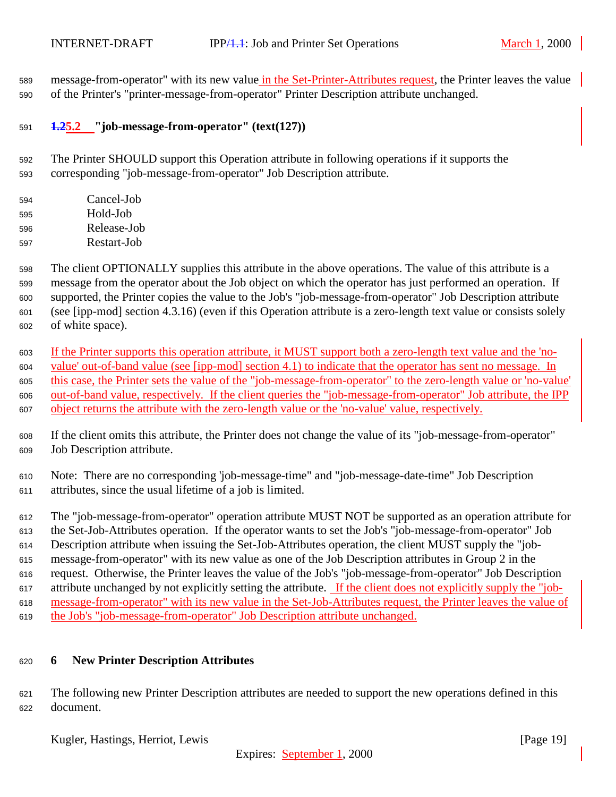<span id="page-18-0"></span> message-from-operator" with its new value in the Set-Printer-Attributes request, the Printer leaves the value of the Printer's "printer-message-from-operator" Printer Description attribute unchanged.

#### **1.25.2 "job-message-from-operator" (text(127))**

 The Printer SHOULD support this Operation attribute in following operations if it supports the corresponding "job-message-from-operator" Job Description attribute.

 Cancel-Job Hold-Job Release-Job Restart-Job

 The client OPTIONALLY supplies this attribute in the above operations. The value of this attribute is a message from the operator about the Job object on which the operator has just performed an operation. If supported, the Printer copies the value to the Job's "job-message-from-operator" Job Description attribute (see [ipp-mod] section 4.3.16) (even if this Operation attribute is a zero-length text value or consists solely of white space).

 If the Printer supports this operation attribute, it MUST support both a zero-length text value and the 'no- value' out-of-band value (see [ipp-mod] section 4.1) to indicate that the operator has sent no message. In this case, the Printer sets the value of the "job-message-from-operator" to the zero-length value or 'no-value' out-of-band value, respectively. If the client queries the "job-message-from-operator" Job attribute, the IPP object returns the attribute with the zero-length value or the 'no-value' value, respectively.

 If the client omits this attribute, the Printer does not change the value of its "job-message-from-operator" Job Description attribute.

 Note: There are no corresponding 'job-message-time" and "job-message-date-time" Job Description attributes, since the usual lifetime of a job is limited.

 The "job-message-from-operator" operation attribute MUST NOT be supported as an operation attribute for the Set-Job-Attributes operation. If the operator wants to set the Job's "job-message-from-operator" Job Description attribute when issuing the Set-Job-Attributes operation, the client MUST supply the "job- message-from-operator" with its new value as one of the Job Description attributes in Group 2 in the request. Otherwise, the Printer leaves the value of the Job's "job-message-from-operator" Job Description attribute unchanged by not explicitly setting the attribute. If the client does not explicitly supply the "job- message-from-operator" with its new value in the Set-Job-Attributes request, the Printer leaves the value of the Job's "job-message-from-operator" Job Description attribute unchanged.

## **6 New Printer Description Attributes**

 The following new Printer Description attributes are needed to support the new operations defined in this document.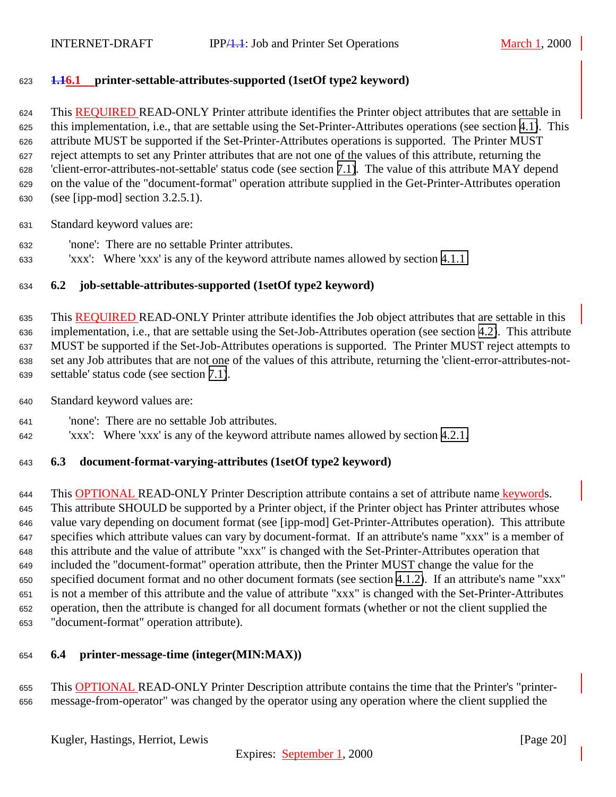## <span id="page-19-0"></span>**1.16.1 printer-settable-attributes-supported (1setOf type2 keyword)**

 This REQUIRED READ-ONLY Printer attribute identifies the Printer object attributes that are settable in this implementation, i.e., that are settable using the Set-Printer-Attributes operations (see section [4.1\)](#page-7-0). This attribute MUST be supported if the Set-Printer-Attributes operations is supported. The Printer MUST reject attempts to set any Printer attributes that are not one of the values of this attribute, returning the 'client-error-attributes-not-settable' status code (see section [7.1\)](#page-20-0). The value of this attribute MAY depend on the value of the "document-format" operation attribute supplied in the Get-Printer-Attributes operation (see [ipp-mod] section 3.2.5.1).

Standard keyword values are:

- 'none': There are no settable Printer attributes.
- 'xxx': Where 'xxx' is any of the keyword attribute names allowed by section [4.1.1](#page-8-0)

## **6.2 job-settable-attributes-supported (1setOf type2 keyword)**

 This REQUIRED READ-ONLY Printer attribute identifies the Job object attributes that are settable in this implementation, i.e., that are settable using the Set-Job-Attributes operation (see section [4.2\)](#page-11-0). This attribute MUST be supported if the Set-Job-Attributes operations is supported. The Printer MUST reject attempts to set any Job attributes that are not one of the values of this attribute, returning the 'client-error-attributes-not-settable' status code (see section [7.1\)](#page-20-0).

- Standard keyword values are:
- 'none': There are no settable Job attributes.
- 'xxx': Where 'xxx' is any of the keyword attribute names allowed by section [4.2.1.](#page-13-0)

#### **6.3 document-format-varying-attributes (1setOf type2 keyword)**

 This OPTIONAL READ-ONLY Printer Description attribute contains a set of attribute name keywords. This attribute SHOULD be supported by a Printer object, if the Printer object has Printer attributes whose value vary depending on document format (see [ipp-mod] Get-Printer-Attributes operation). This attribute specifies which attribute values can vary by document-format. If an attribute's name "xxx" is a member of this attribute and the value of attribute "xxx" is changed with the Set-Printer-Attributes operation that included the "document-format" operation attribute, then the Printer MUST change the value for the specified document format and no other document formats (see section [4.1.2\)](#page-9-0). If an attribute's name "xxx" is not a member of this attribute and the value of attribute "xxx" is changed with the Set-Printer-Attributes operation, then the attribute is changed for all document formats (whether or not the client supplied the "document-format" operation attribute).

#### **6.4 printer-message-time (integer(MIN:MAX))**

 This OPTIONAL READ-ONLY Printer Description attribute contains the time that the Printer's "printer-message-from-operator" was changed by the operator using any operation where the client supplied the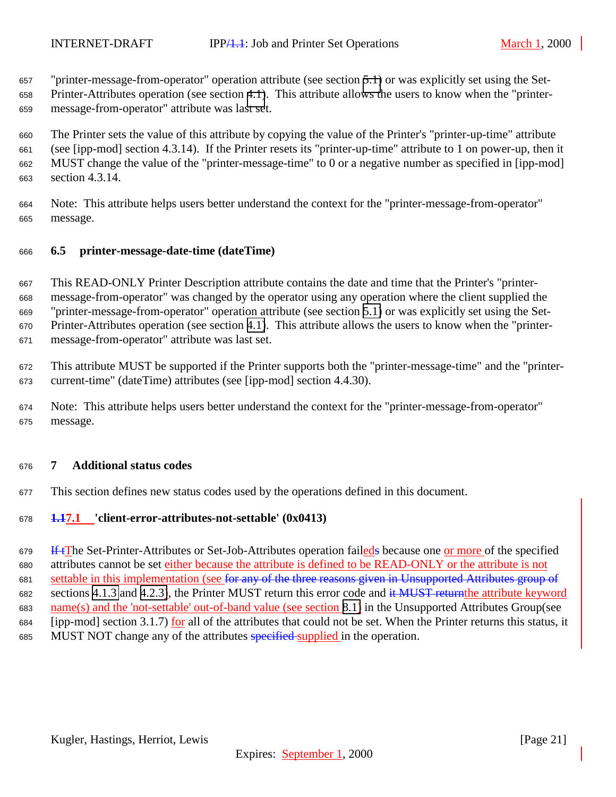<span id="page-20-0"></span> "printer-message-from-operator" operation attribute (see section [5.1\)](#page-17-0) or was explicitly set using the Set- Printer-Attributes operation (see section [4.1\)](#page-7-0). This attribute allows the users to know when the "printer-message-from-operator" attribute was last set.

 The Printer sets the value of this attribute by copying the value of the Printer's "printer-up-time" attribute (see [ipp-mod] section 4.3.14). If the Printer resets its "printer-up-time" attribute to 1 on power-up, then it MUST change the value of the "printer-message-time" to 0 or a negative number as specified in [ipp-mod] section 4.3.14.

 Note: This attribute helps users better understand the context for the "printer-message-from-operator" message.

## **6.5 printer-message-date-time (dateTime)**

 This READ-ONLY Printer Description attribute contains the date and time that the Printer's "printer- message-from-operator" was changed by the operator using any operation where the client supplied the "printer-message-from-operator" operation attribute (see section [5.1\)](#page-17-0) or was explicitly set using the Set- Printer-Attributes operation (see section [4.1\)](#page-7-0). This attribute allows the users to know when the "printer-message-from-operator" attribute was last set.

 This attribute MUST be supported if the Printer supports both the "printer-message-time" and the "printer-current-time" (dateTime) attributes (see [ipp-mod] section 4.4.30).

 Note: This attribute helps users better understand the context for the "printer-message-from-operator" message.

#### **7 Additional status codes**

This section defines new status codes used by the operations defined in this document.

#### **1.17.1 'client-error-attributes-not-settable' (0x0413)**

 If tThe Set-Printer-Attributes or Set-Job-Attributes operation faileds because one or more of the specified attributes cannot be set either because the attribute is defined to be READ-ONLY or the attribute is not settable in this implementation (see for any of the three reasons given in Unsupported Attributes group of 682 sections [4.1.3](#page-10-0) and [4.2.3\)](#page-14-0), the Printer MUST return this error code and it MUST return the attribute keyword name(s) and the 'not-settable' out-of-band value (see section [8.1\)](#page-21-0) in the Unsupported Attributes Group(see [ipp-mod] section 3.1.7) for all of the attributes that could not be set. When the Printer returns this status, it 685 MUST NOT change any of the attributes specified supplied in the operation.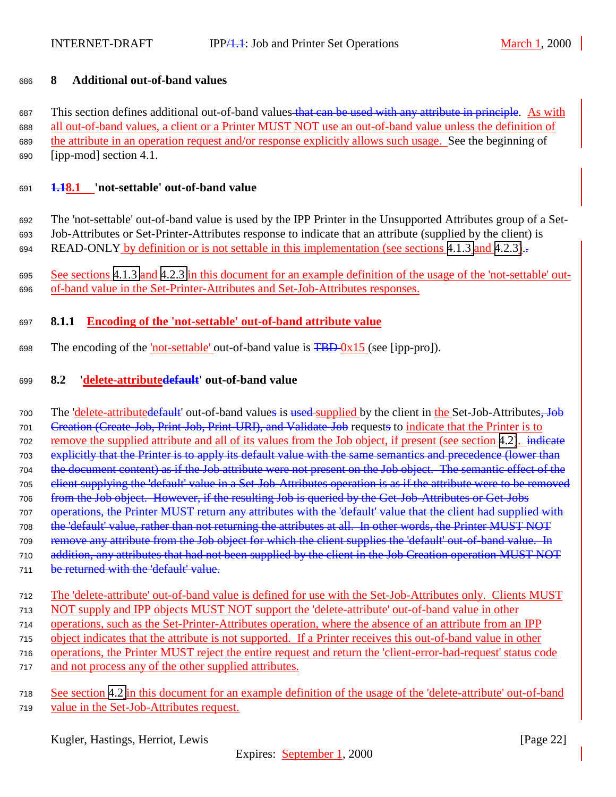### <span id="page-21-0"></span>**8 Additional out-of-band values**

687 This section defines additional out-of-band values that can be used with any attribute in principle. As with all out-of-band values, a client or a Printer MUST NOT use an out-of-band value unless the definition of the attribute in an operation request and/or response explicitly allows such usage. See the beginning of [ipp-mod] section 4.1.

#### **1.18.1 'not-settable' out-of-band value**

 The 'not-settable' out-of-band value is used by the IPP Printer in the Unsupported Attributes group of a Set- Job-Attributes or Set-Printer-Attributes response to indicate that an attribute (supplied by the client) is 694 READ-ONLY by definition or is not settable in this implementation (see sections [4.1.3](#page-10-0) and [4.2.3\)](#page-14-0).

 See sections [4.1.3](#page-10-0) and [4.2.3](#page-14-0) in this document for an example definition of the usage of the 'not-settable' out-of-band value in the Set-Printer-Attributes and Set-Job-Attributes responses.

## **8.1.1 Encoding of the 'not-settable' out-of-band attribute value**

698 The encoding of the 'not-settable' out-of-band value is  $\overline{FBD-0x15}$  (see [ipp-pro]).

#### **8.2 'delete-attributedefault' out-of-band value**

700 The 'delete-attributedefault' out-of-band values is used-supplied by the client in the Set-Job-Attributes, Job Creation (Create-Job, Print-Job, Print-URI), and Validate-Job requests to indicate that the Printer is to remove the supplied attribute and all of its values from the Job object, if present (see section [4.2\)](#page-11-0). indicate explicitly that the Printer is to apply its default value with the same semantics and precedence (lower than the document content) as if the Job attribute were not present on the Job object. The semantic effect of the client supplying the 'default' value in a Set-Job-Attributes operation is as if the attribute were to be removed from the Job object. However, if the resulting Job is queried by the Get-Job-Attributes or Get-Jobs operations, the Printer MUST return any attributes with the 'default' value that the client had supplied with the 'default' value, rather than not returning the attributes at all. In other words, the Printer MUST NOT remove any attribute from the Job object for which the client supplies the 'default' out-of-band value. In addition, any attributes that had not been supplied by the client in the Job Creation operation MUST NOT 711 be returned with the 'default' value.

- The 'delete-attribute' out-of-band value is defined for use with the Set-Job-Attributes only. Clients MUST NOT supply and IPP objects MUST NOT support the 'delete-attribute' out-of-band value in other operations, such as the Set-Printer-Attributes operation, where the absence of an attribute from an IPP object indicates that the attribute is not supported. If a Printer receives this out-of-band value in other operations, the Printer MUST reject the entire request and return the 'client-error-bad-request' status code and not process any of the other supplied attributes.
- See section [4.2](#page-11-0) in this document for an example definition of the usage of the 'delete-attribute' out-of-band value in the Set-Job-Attributes request.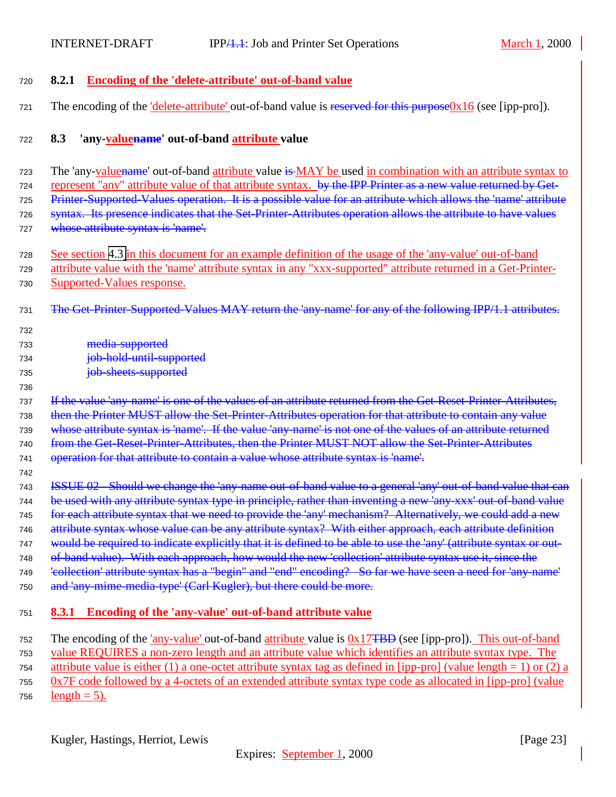## <span id="page-22-0"></span><sup>720</sup> **8.2.1 Encoding of the 'delete-attribute' out-of-band value**

721 The encoding of the 'delete-attribute' out-of-band value is reserved for this purpose0x16 (see [ipp-pro]).

#### <sup>722</sup> **8.3 'any-valuename' out-of-band attribute value**

<sup>723</sup> The 'any-valuename' out-of-band attribute value is MAY be used in combination with an attribute syntax to 724 represent "any" attribute value of that attribute syntax. by the IPP Printer as a new value returned by Get-<sup>725</sup> Printer-Supported-Values operation. It is a possible value for an attribute which allows the 'name' attribute 726 syntax. Its presence indicates that the Set-Printer-Attributes operation allows the attribute to have values 727 whose attribute syntax is 'name'.

- <sup>728</sup> See section [4.3](#page-15-0) in this document for an example definition of the usage of the 'any-value' out-of-band <sup>729</sup> attribute value with the 'name' attribute syntax in any "xxx-supported" attribute returned in a Get-Printer-<sup>730</sup> Supported-Values response.
- 731 The Get-Printer-Supported-Values MAY return the 'any-name' for any of the following IPP/1.1 attributes.
- 732 <sup>733</sup> media-supported <sup>734</sup> job-hold-until-supported <sup>735</sup> job-sheets-supported

#### 736

742

737 If the value 'any-name' is one of the values of an attribute returned from the Get-Reset-Printer-Attributes, <sup>738</sup> then the Printer MUST allow the Set-Printer-Attributes operation for that attribute to contain any value <sup>739</sup> whose attribute syntax is 'name'. If the value 'any-name' is not one of the values of an attribute returned 740 from the Get-Reset-Printer-Attributes, then the Printer MUST NOT allow the Set-Printer-Attributes <sup>741</sup> operation for that attribute to contain a value whose attribute syntax is 'name'.

<sup>743</sup> ISSUE 02 - Should we change the 'any-name out-of-band value to a general 'any' out-of-band value that can 744 be used with any attribute syntax type in principle, rather than inventing a new 'any-xxx' out-of-band value 745 for each attribute syntax that we need to provide the 'any' mechanism? Alternatively, we could add a new 746 attribute syntax whose value can be any attribute syntax? With either approach, each attribute definition 747 would be required to indicate explicitly that it is defined to be able to use the 'any' (attribute syntax or out-<sup>748</sup> of-band value). With each approach, how would the new 'collection' attribute syntax use it, since the 749 'eollection' attribute syntax has a "begin" and "end" encoding? So far we have seen a need for 'any name' <sup>750</sup> and 'any-mime-media-type' (Carl Kugler), but there could be more.

#### <sup>751</sup> **8.3.1 Encoding of the 'any-value' out-of-band attribute value**

<sup>752</sup> The encoding of the 'any-value' out-of-band attribute value is 0x17TBD (see [ipp-pro]). This out-of-band <sup>753</sup> value REQUIRES a non-zero length and an attribute value which identifies an attribute syntax type. The 754 attribute value is either (1) a one-octet attribute syntax tag as defined in [ipp-pro] (value length = 1) or (2) a <sup>755</sup> 0x7F code followed by a 4-octets of an extended attribute syntax type code as allocated in [ipp-pro] (value 756 length  $= 5$ ).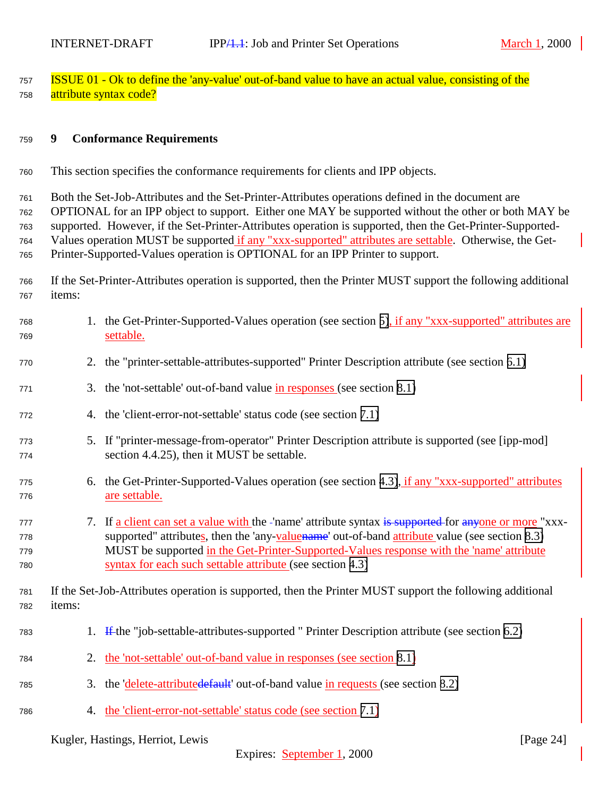<span id="page-23-0"></span><sup>757</sup> ISSUE 01 - Ok to define the 'any-value' out-of-band value to have an actual value, consisting of the 758 attribute syntax code?

#### <sup>759</sup> **9 Conformance Requirements**

<sup>760</sup> This section specifies the conformance requirements for clients and IPP objects.

 Both the Set-Job-Attributes and the Set-Printer-Attributes operations defined in the document are OPTIONAL for an IPP object to support. Either one MAY be supported without the other or both MAY be supported. However, if the Set-Printer-Attributes operation is supported, then the Get-Printer-Supported- Values operation MUST be supported if any "xxx-supported" attributes are settable. Otherwise, the Get-Printer-Supported-Values operation is OPTIONAL for an IPP Printer to support.

<sup>766</sup> If the Set-Printer-Attributes operation is supported, then the Printer MUST support the following additional <sup>767</sup> items:

| 768<br>769               |        | 1. the Get-Printer-Supported-Values operation (see section 5), if any "xxx-supported" attributes are<br>settable.                                                                                                                                                                                                                                                 |
|--------------------------|--------|-------------------------------------------------------------------------------------------------------------------------------------------------------------------------------------------------------------------------------------------------------------------------------------------------------------------------------------------------------------------|
| 770                      |        | 2. the "printer-settable-attributes-supported" Printer Description attribute (see section 6.1)                                                                                                                                                                                                                                                                    |
| 771                      | 3.     | the 'not-settable' out-of-band value in responses (see section 8.1)                                                                                                                                                                                                                                                                                               |
| 772                      |        | 4. the 'client-error-not-settable' status code (see section 7.1)                                                                                                                                                                                                                                                                                                  |
| 773<br>774               |        | 5. If "printer-message-from-operator" Printer Description attribute is supported (see [ipp-mod]<br>section 4.4.25), then it MUST be settable.                                                                                                                                                                                                                     |
| 775<br>776               |        | 6. the Get-Printer-Supported-Values operation (see section 4.3), if any "xxx-supported" attributes<br>are settable.                                                                                                                                                                                                                                               |
| 777<br>778<br>779<br>780 |        | 7. If a client can set a value with the -'name' attribute syntax is supported for anyone or more "xxx-<br>supported" attributes, then the 'any-value name' out-of-band attribute value (see section 8.3)<br>MUST be supported in the Get-Printer-Supported-Values response with the 'name' attribute<br>syntax for each such settable attribute (see section 4.3) |
| 781<br>782               | items: | If the Set-Job-Attributes operation is supported, then the Printer MUST support the following additional                                                                                                                                                                                                                                                          |
| 783                      |        | 1. If the "job-settable-attributes-supported" Printer Description attribute (see section 6.2)                                                                                                                                                                                                                                                                     |
| 784                      |        | 2. the 'not-settable' out-of-band value in responses (see section 8.1)                                                                                                                                                                                                                                                                                            |
| 785                      | 3.     | the 'delete-attributedefault' out-of-band value in requests (see section 8.2)                                                                                                                                                                                                                                                                                     |
| 786                      | 4.     | the 'client-error-not-settable' status code (see section 7.1)                                                                                                                                                                                                                                                                                                     |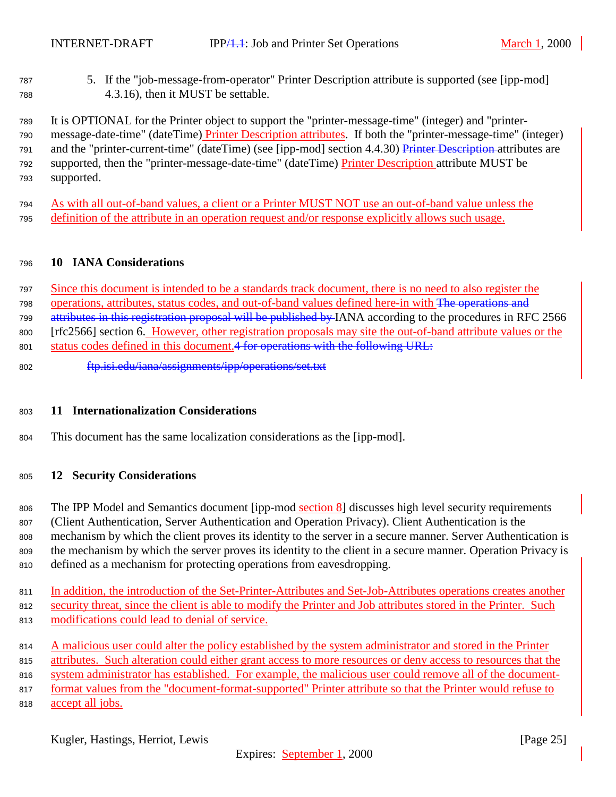<span id="page-24-0"></span> 5. If the "job-message-from-operator" Printer Description attribute is supported (see [ipp-mod] 4.3.16), then it MUST be settable.

 It is OPTIONAL for the Printer object to support the "printer-message-time" (integer) and "printer- message-date-time" (dateTime) Printer Description attributes. If both the "printer-message-time" (integer) and the "printer-current-time" (dateTime) (see [ipp-mod] section 4.4.30) Printer Description attributes are supported, then the "printer-message-date-time" (dateTime) Printer Description attribute MUST be supported.

 As with all out-of-band values, a client or a Printer MUST NOT use an out-of-band value unless the definition of the attribute in an operation request and/or response explicitly allows such usage.

#### **10 IANA Considerations**

 Since this document is intended to be a standards track document, there is no need to also register the operations, attributes, status codes, and out-of-band values defined here-in with The operations and attributes in this registration proposal will be published by IANA according to the procedures in RFC 2566 [rfc2566] section 6. However, other registration proposals may site the out-of-band attribute values or the

801 status codes defined in this document. 4 for operations with the following URL:

ftp.isi.edu/iana/assignments/ipp/operations/set.txt

#### **11 Internationalization Considerations**

This document has the same localization considerations as the [ipp-mod].

#### **12 Security Considerations**

806 The IPP Model and Semantics document [ipp-mod section 8] discusses high level security requirements (Client Authentication, Server Authentication and Operation Privacy). Client Authentication is the mechanism by which the client proves its identity to the server in a secure manner. Server Authentication is the mechanism by which the server proves its identity to the client in a secure manner. Operation Privacy is defined as a mechanism for protecting operations from eavesdropping.

- In addition, the introduction of the Set-Printer-Attributes and Set-Job-Attributes operations creates another
- security threat, since the client is able to modify the Printer and Job attributes stored in the Printer. Such modifications could lead to denial of service.
- 814 A malicious user could alter the policy established by the system administrator and stored in the Printer
- attributes. Such alteration could either grant access to more resources or deny access to resources that the

system administrator has established. For example, the malicious user could remove all of the document-

format values from the "document-format-supported" Printer attribute so that the Printer would refuse to

accept all jobs.

Kugler, Hastings, Herriot, Lewis [Page 25]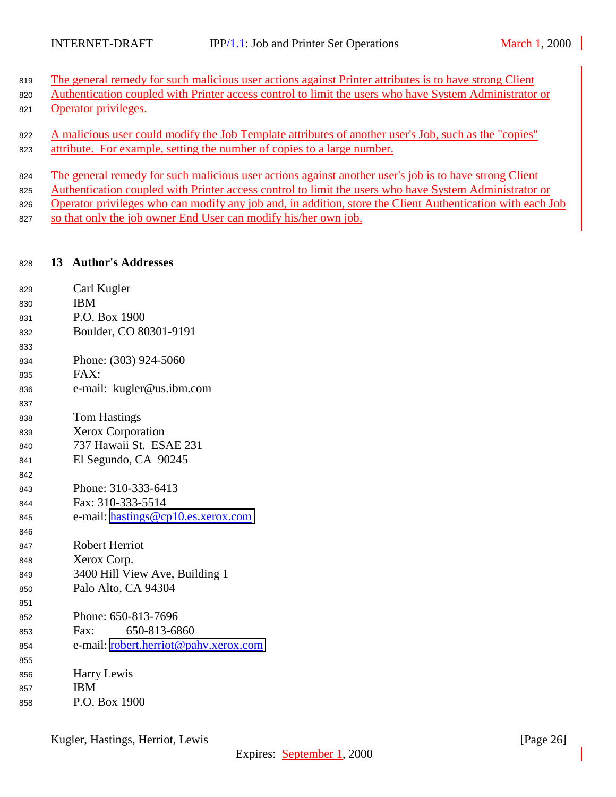- <span id="page-25-0"></span>819 The general remedy for such malicious user actions against Printer attributes is to have strong Client
- Authentication coupled with Printer access control to limit the users who have System Administrator or
- Operator privileges.
- A malicious user could modify the Job Template attributes of another user's Job, such as the "copies" 823 attribute. For example, setting the number of copies to a large number.
- The general remedy for such malicious user actions against another user's job is to have strong Client
- Authentication coupled with Printer access control to limit the users who have System Administrator or
- 826 Operator privileges who can modify any job and, in addition, store the Client Authentication with each Job
- 827 so that only the job owner End User can modify his/her own job.

# **13 Author's Addresses**

| 829 | Carl Kugler                           |
|-----|---------------------------------------|
| 830 | <b>IBM</b>                            |
| 831 | P.O. Box 1900                         |
| 832 | Boulder, CO 80301-9191                |
| 833 |                                       |
| 834 | Phone: (303) 924-5060                 |
| 835 | FAX:                                  |
| 836 | e-mail: kugler@us.ibm.com             |
| 837 |                                       |
| 838 | <b>Tom Hastings</b>                   |
| 839 | <b>Xerox Corporation</b>              |
| 840 | 737 Hawaii St. ESAE 231               |
| 841 | El Segundo, CA 90245                  |
| 842 |                                       |
| 843 | Phone: 310-333-6413                   |
| 844 | Fax: 310-333-5514                     |
| 845 | e-mail: hastings@cp10.es.xerox.com    |
| 846 |                                       |
| 847 | <b>Robert Herriot</b>                 |
| 848 | Xerox Corp.                           |
| 849 | 3400 Hill View Ave, Building 1        |
| 850 | Palo Alto, CA 94304                   |
| 851 |                                       |
| 852 | Phone: 650-813-7696                   |
| 853 | 650-813-6860<br>Fax:                  |
| 854 | e-mail: robert.herriot@pahv.xerox.com |
| 855 |                                       |
| 856 | Harry Lewis                           |
| 857 | <b>IBM</b>                            |
| 858 | P.O. Box 1900                         |
|     |                                       |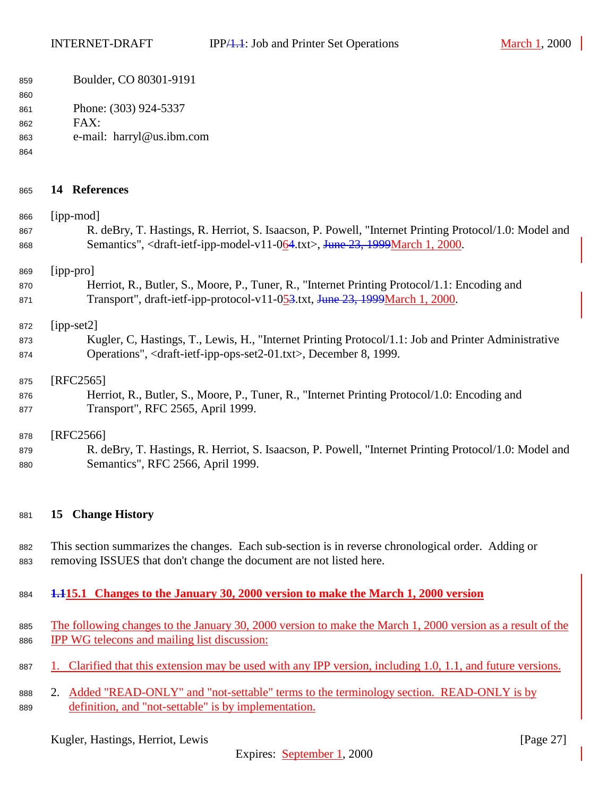<span id="page-26-0"></span>

| 859 |  |  | Boulder, CO 80301-9191 |
|-----|--|--|------------------------|
|-----|--|--|------------------------|

Phone: (303) 924-5337

FAX:

- e-mail: harryl@us.ibm.com
- 

| 865 | 14 | <b>References</b> |
|-----|----|-------------------|
|     |    |                   |

 [ipp-mod] R. deBry, T. Hastings, R. Herriot, S. Isaacson, P. Powell, "Internet Printing Protocol/1.0: Model and Semantics", <draft-ietf-ipp-model-v11-064.txt>, June 23, 1999March 1, 2000. [ipp-pro] 870 Herriot, R., Butler, S., Moore, P., Tuner, R., "Internet Printing Protocol/1.1: Encoding and 871 Transport", draft-ietf-ipp-protocol-v11-053.txt, June 23, 1999March 1, 2000. [ipp-set2] Kugler, C, Hastings, T., Lewis, H., "Internet Printing Protocol/1.1: Job and Printer Administrative Operations", <draft-ietf-ipp-ops-set2-01.txt>, December 8, 1999. 875 [RFC2565] Herriot, R., Butler, S., Moore, P., Tuner, R., "Internet Printing Protocol/1.0: Encoding and Transport", RFC 2565, April 1999. [RFC2566]

 R. deBry, T. Hastings, R. Herriot, S. Isaacson, P. Powell, "Internet Printing Protocol/1.0: Model and Semantics", RFC 2566, April 1999.

## **15 Change History**

 This section summarizes the changes. Each sub-section is in reverse chronological order. Adding or removing ISSUES that don't change the document are not listed here.

- **1.115.1 Changes to the January 30, 2000 version to make the March 1, 2000 version**
- 885 The following changes to the January 30, 2000 version to make the March 1, 2000 version as a result of the IPP WG telecons and mailing list discussion:
- 887 1. Clarified that this extension may be used with any IPP version, including 1.0, 1.1, and future versions.
- 888 2. Added "READ-ONLY" and "not-settable" terms to the terminology section. READ-ONLY is by definition, and "not-settable" is by implementation.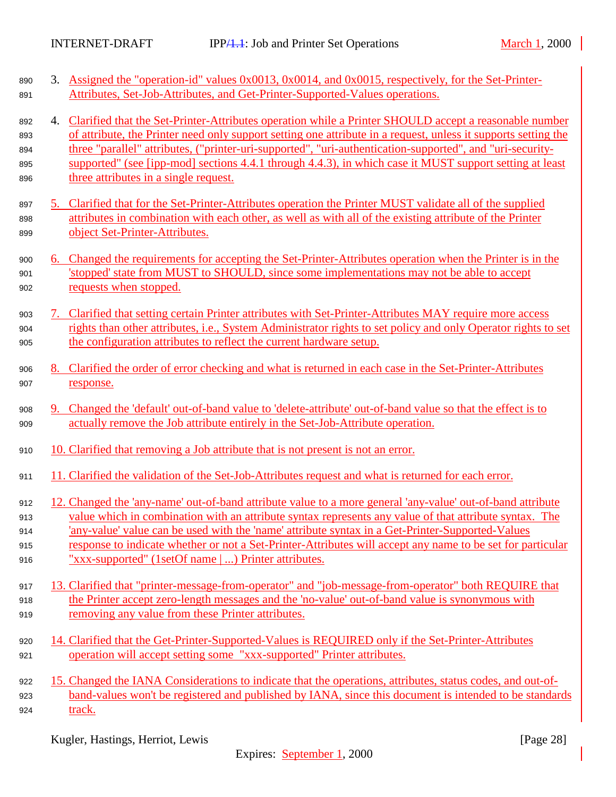| 890<br>891 |    | 3. Assigned the "operation-id" values 0x0013, 0x0014, and 0x0015, respectively, for the Set-Printer-<br>Attributes, Set-Job-Attributes, and Get-Printer-Supported-Values operations.                                    |
|------------|----|-------------------------------------------------------------------------------------------------------------------------------------------------------------------------------------------------------------------------|
| 892<br>893 | 4. | Clarified that the Set-Printer-Attributes operation while a Printer SHOULD accept a reasonable number<br>of attribute, the Printer need only support setting one attribute in a request, unless it supports setting the |
| 894        |    | three "parallel" attributes, ("printer-uri-supported", "uri-authentication-supported", and "uri-security-                                                                                                               |
| 895        |    | supported" (see [ipp-mod] sections 4.4.1 through 4.4.3), in which case it MUST support setting at least                                                                                                                 |
| 896        |    | three attributes in a single request.                                                                                                                                                                                   |
| 897        | 5. | Clarified that for the Set-Printer-Attributes operation the Printer MUST validate all of the supplied                                                                                                                   |
| 898        |    | attributes in combination with each other, as well as with all of the existing attribute of the Printer                                                                                                                 |
| 899        |    | object Set-Printer-Attributes.                                                                                                                                                                                          |
| 900        |    | 6. Changed the requirements for accepting the Set-Printer-Attributes operation when the Printer is in the                                                                                                               |
| 901        |    | 'stopped' state from MUST to SHOULD, since some implementations may not be able to accept                                                                                                                               |
| 902        |    | requests when stopped.                                                                                                                                                                                                  |
| 903        | 7. | Clarified that setting certain Printer attributes with Set-Printer-Attributes MAY require more access                                                                                                                   |
| 904        |    | rights than other attributes, i.e., System Administrator rights to set policy and only Operator rights to set                                                                                                           |
| 905        |    | the configuration attributes to reflect the current hardware setup.                                                                                                                                                     |
| 906        |    | 8. Clarified the order of error checking and what is returned in each case in the Set-Printer-Attributes                                                                                                                |
| 907        |    | response.                                                                                                                                                                                                               |
| 908        | 9. | Changed the 'default' out-of-band value to 'delete-attribute' out-of-band value so that the effect is to                                                                                                                |
| 909        |    | actually remove the Job attribute entirely in the Set-Job-Attribute operation.                                                                                                                                          |
| 910        |    | 10. Clarified that removing a Job attribute that is not present is not an error.                                                                                                                                        |
| 911        |    | 11. Clarified the validation of the Set-Job-Attributes request and what is returned for each error.                                                                                                                     |
| 912        |    | 12. Changed the 'any-name' out-of-band attribute value to a more general 'any-value' out-of-band attribute                                                                                                              |
| 913        |    | value which in combination with an attribute syntax represents any value of that attribute syntax. The                                                                                                                  |
| 914        |    | any-value' value can be used with the 'name' attribute syntax in a Get-Printer-Supported-Values                                                                                                                         |
| 915        |    | response to indicate whether or not a Set-Printer-Attributes will accept any name to be set for particular                                                                                                              |
| 916        |    | "xxx-supported" (1setOf name   ) Printer attributes.                                                                                                                                                                    |
| 917        |    | 13. Clarified that "printer-message-from-operator" and "job-message-from-operator" both REQUIRE that                                                                                                                    |
| 918        |    | the Printer accept zero-length messages and the 'no-value' out-of-band value is synonymous with                                                                                                                         |
| 919        |    | removing any value from these Printer attributes.                                                                                                                                                                       |
| 920        |    | 14. Clarified that the Get-Printer-Supported-Values is REQUIRED only if the Set-Printer-Attributes                                                                                                                      |
| 921        |    | operation will accept setting some "xxx-supported" Printer attributes.                                                                                                                                                  |
| 922        |    | 15. Changed the IANA Considerations to indicate that the operations, attributes, status codes, and out-of-                                                                                                              |
| 923        |    | band-values won't be registered and published by IANA, since this document is intended to be standards                                                                                                                  |
| 924        |    | track.                                                                                                                                                                                                                  |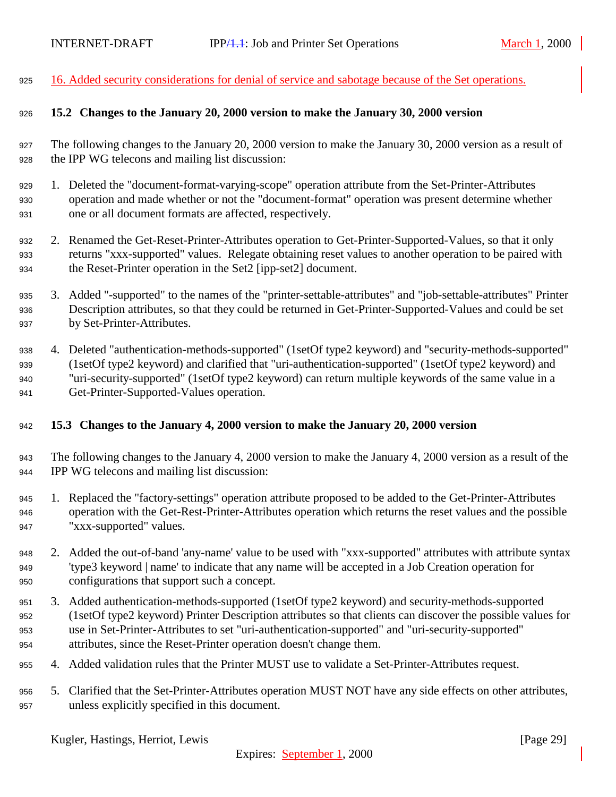<span id="page-28-0"></span>16. Added security considerations for denial of service and sabotage because of the Set operations.

#### **15.2 Changes to the January 20, 2000 version to make the January 30, 2000 version**

 The following changes to the January 20, 2000 version to make the January 30, 2000 version as a result of the IPP WG telecons and mailing list discussion:

- 1. Deleted the "document-format-varying-scope" operation attribute from the Set-Printer-Attributes operation and made whether or not the "document-format" operation was present determine whether one or all document formats are affected, respectively.
- 2. Renamed the Get-Reset-Printer-Attributes operation to Get-Printer-Supported-Values, so that it only returns "xxx-supported" values. Relegate obtaining reset values to another operation to be paired with the Reset-Printer operation in the Set2 [ipp-set2] document.
- 3. Added "-supported" to the names of the "printer-settable-attributes" and "job-settable-attributes" Printer Description attributes, so that they could be returned in Get-Printer-Supported-Values and could be set by Set-Printer-Attributes.
- 4. Deleted "authentication-methods-supported" (1setOf type2 keyword) and "security-methods-supported" (1setOf type2 keyword) and clarified that "uri-authentication-supported" (1setOf type2 keyword) and "uri-security-supported" (1setOf type2 keyword) can return multiple keywords of the same value in a Get-Printer-Supported-Values operation.

#### **15.3 Changes to the January 4, 2000 version to make the January 20, 2000 version**

- The following changes to the January 4, 2000 version to make the January 4, 2000 version as a result of the IPP WG telecons and mailing list discussion:
- 1. Replaced the "factory-settings" operation attribute proposed to be added to the Get-Printer-Attributes operation with the Get-Rest-Printer-Attributes operation which returns the reset values and the possible "xxx-supported" values.
- 2. Added the out-of-band 'any-name' value to be used with "xxx-supported" attributes with attribute syntax 'type3 keyword | name' to indicate that any name will be accepted in a Job Creation operation for configurations that support such a concept.
- 3. Added authentication-methods-supported (1setOf type2 keyword) and security-methods-supported (1setOf type2 keyword) Printer Description attributes so that clients can discover the possible values for use in Set-Printer-Attributes to set "uri-authentication-supported" and "uri-security-supported" attributes, since the Reset-Printer operation doesn't change them.
- 4. Added validation rules that the Printer MUST use to validate a Set-Printer-Attributes request.
- 5. Clarified that the Set-Printer-Attributes operation MUST NOT have any side effects on other attributes, unless explicitly specified in this document.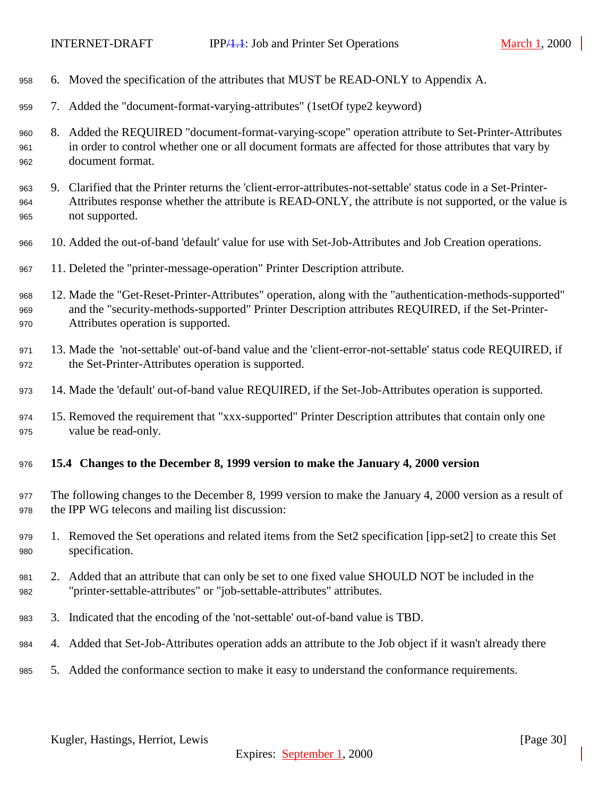- <span id="page-29-0"></span> 6. Moved the specification of the attributes that MUST be READ-ONLY to Appendix A. 7. Added the "document-format-varying-attributes" (1setOf type2 keyword) 8. Added the REQUIRED "document-format-varying-scope" operation attribute to Set-Printer-Attributes in order to control whether one or all document formats are affected for those attributes that vary by document format.
	- 9. Clarified that the Printer returns the 'client-error-attributes-not-settable' status code in a Set-Printer- Attributes response whether the attribute is READ-ONLY, the attribute is not supported, or the value is not supported.
	- 10. Added the out-of-band 'default' value for use with Set-Job-Attributes and Job Creation operations.
	- 11. Deleted the "printer-message-operation" Printer Description attribute.
	- 12. Made the "Get-Reset-Printer-Attributes" operation, along with the "authentication-methods-supported" and the "security-methods-supported" Printer Description attributes REQUIRED, if the Set-Printer-Attributes operation is supported.
	- 13. Made the 'not-settable' out-of-band value and the 'client-error-not-settable' status code REQUIRED, if the Set-Printer-Attributes operation is supported.
	- 14. Made the 'default' out-of-band value REQUIRED, if the Set-Job-Attributes operation is supported.
	- 15. Removed the requirement that "xxx-supported" Printer Description attributes that contain only one value be read-only.
	- **15.4 Changes to the December 8, 1999 version to make the January 4, 2000 version**
	- The following changes to the December 8, 1999 version to make the January 4, 2000 version as a result of the IPP WG telecons and mailing list discussion:
	- 1. Removed the Set operations and related items from the Set2 specification [ipp-set2] to create this Set specification.
	- 2. Added that an attribute that can only be set to one fixed value SHOULD NOT be included in the "printer-settable-attributes" or "job-settable-attributes" attributes.
	- 3. Indicated that the encoding of the 'not-settable' out-of-band value is TBD.
	- 4. Added that Set-Job-Attributes operation adds an attribute to the Job object if it wasn't already there
	- 5. Added the conformance section to make it easy to understand the conformance requirements.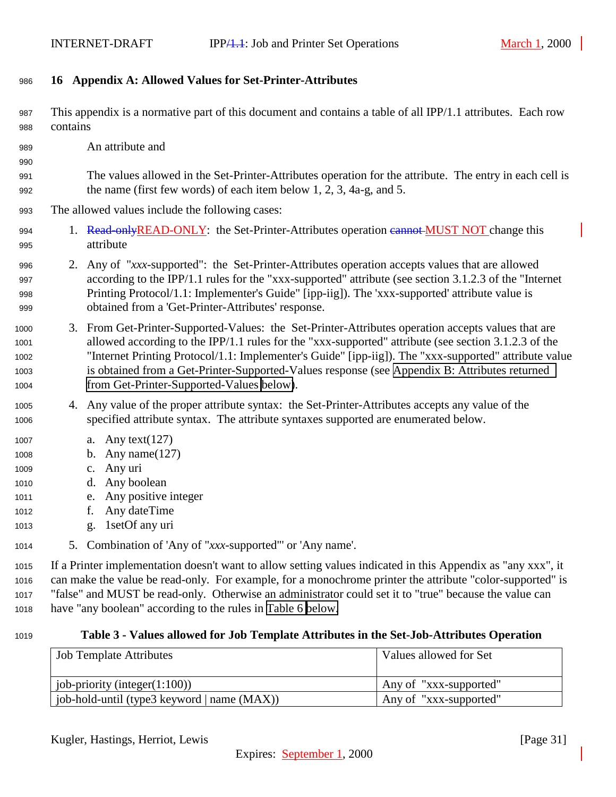### <span id="page-30-0"></span>**16 Appendix A: Allowed Values for Set-Printer-Attributes**

- This appendix is a normative part of this document and contains a table of all IPP/1.1 attributes. Each row contains
- An attribute and

- The values allowed in the Set-Printer-Attributes operation for the attribute. The entry in each cell is the name (first few words) of each item below 1, 2, 3, 4a-g, and 5.
- The allowed values include the following cases:
- 994 1. Read-onlyREAD-ONLY: the Set-Printer-Attributes operation cannot MUST NOT change this attribute
- 2. Any of "*xxx*-supported": the Set-Printer-Attributes operation accepts values that are allowed according to the IPP/1.1 rules for the "xxx-supported" attribute (see section 3.1.2.3 of the "Internet Printing Protocol/1.1: Implementer's Guide" [ipp-iig]). The 'xxx-supported' attribute value is obtained from a 'Get-Printer-Attributes' response.
- 3. From Get-Printer-Supported-Values: the Set-Printer-Attributes operation accepts values that are allowed according to the IPP/1.1 rules for the "xxx-supported" attribute (see section 3.1.2.3 of the "Internet Printing Protocol/1.1: Implementer's Guide" [ipp-iig]). The "xxx-supported" attribute value is obtained from a Get-Printer-Supported-Values response (see [Appendix B: Attributes returned](#page-34-0) [from Get-Printer-Supported-Values below\)](#page-34-0).
- 4. Any value of the proper attribute syntax: the Set-Printer-Attributes accepts any value of the specified attribute syntax. The attribute syntaxes supported are enumerated below.
- a. Any text(127)
- b. Any name(127)
- c. Any uri
- d. Any boolean
- e. Any positive integer
- f. Any dateTime
- g. 1setOf any uri
- 5. Combination of 'Any of "*xxx*-supported"' or 'Any name'.

 If a Printer implementation doesn't want to allow setting values indicated in this Appendix as "any xxx", it can make the value be read-only. For example, for a monochrome printer the attribute "color-supported" is "false" and MUST be read-only. Otherwise an administrator could set it to "true" because the value can have "any boolean" according to the rules in [Table 6 below.](#page-32-0)

#### **Table 3 - Values allowed for Job Template Attributes in the Set-Job-Attributes Operation**

| <b>Job Template Attributes</b>              | Values allowed for Set |
|---------------------------------------------|------------------------|
|                                             |                        |
| job-priority (integer $(1:100)$ )           | Any of "xxx-supported" |
| job-hold-until (type3 keyword   name (MAX)) | Any of "xxx-supported" |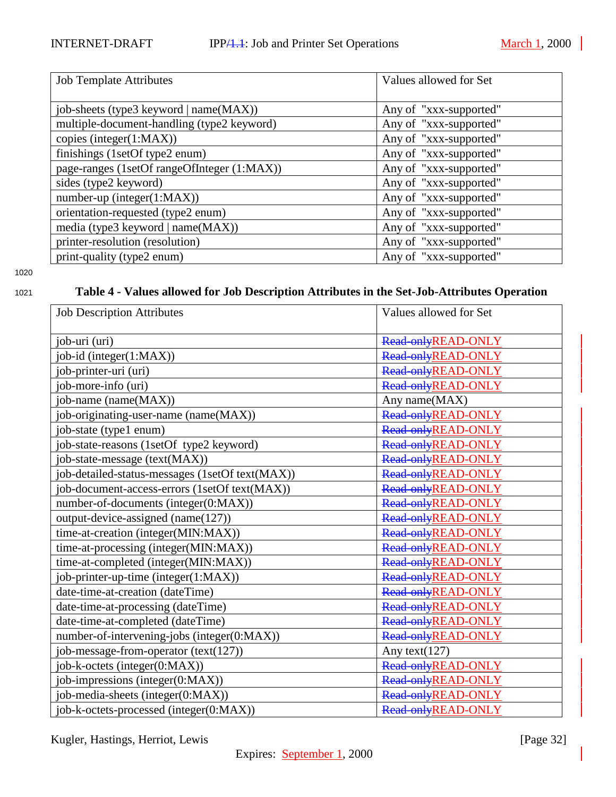<span id="page-31-0"></span>

| <b>Job Template Attributes</b>              | Values allowed for Set |
|---------------------------------------------|------------------------|
| job-sheets (type3 keyword   name(MAX))      | Any of "xxx-supported" |
| multiple-document-handling (type2 keyword)  | Any of "xxx-supported" |
| copies (integer $(1:MAX)$ )                 | Any of "xxx-supported" |
| finishings (1setOf type2 enum)              | Any of "xxx-supported" |
| page-ranges (1setOf rangeOfInteger (1:MAX)) | Any of "xxx-supported" |
| sides (type2 keyword)                       | Any of "xxx-supported" |
| $number-up (integer(1:MAX))$                | Any of "xxx-supported" |
| orientation-requested (type2 enum)          | Any of "xxx-supported" |
| media (type3 keyword $ name(MAX) $ )        | Any of "xxx-supported" |
| printer-resolution (resolution)             | Any of "xxx-supported" |
| print-quality (type2 enum)                  | Any of "xxx-supported" |

# <sup>1021</sup> **Table 4 - Values allowed for Job Description Attributes in the Set-Job-Attributes Operation**

| <b>Job Description Attributes</b>               | Values allowed for Set |
|-------------------------------------------------|------------------------|
|                                                 |                        |
| job-uri (uri)                                   | Read-onlyREAD-ONLY     |
| job-id (integer(1:MAX))                         | Read-onlyREAD-ONLY     |
| job-printer-uri (uri)                           | Read-onlyREAD-ONLY     |
| job-more-info (uri)                             | Read-onlyREAD-ONLY     |
| job-name (name(MAX))                            | Any name(MAX)          |
| job-originating-user-name (name(MAX))           | Read-onlyREAD-ONLY     |
| job-state (type1 enum)                          | Read-onlyREAD-ONLY     |
| job-state-reasons (1setOf type2 keyword)        | Read-onlyREAD-ONLY     |
| job-state-message (text(MAX))                   | Read-onlyREAD-ONLY     |
| job-detailed-status-messages (1setOf text(MAX)) | Read-onlyREAD-ONLY     |
| job-document-access-errors (1setOf text(MAX))   | Read-onlyREAD-ONLY     |
| number-of-documents (integer(0:MAX))            | Read-onlyREAD-ONLY     |
| output-device-assigned (name(127))              | Read-onlyREAD-ONLY     |
| time-at-creation (integer(MIN:MAX))             | Read-onlyREAD-ONLY     |
| time-at-processing (integer(MIN:MAX))           | Read-onlyREAD-ONLY     |
| time-at-completed (integer(MIN:MAX))            | Read-onlyREAD-ONLY     |
| job-printer-up-time (integer(1:MAX))            | Read-onlyREAD-ONLY     |
| date-time-at-creation (dateTime)                | Read-onlyREAD-ONLY     |
| date-time-at-processing (dateTime)              | Read-onlyREAD-ONLY     |
| date-time-at-completed (dateTime)               | Read-onlyREAD-ONLY     |
| number-of-intervening-jobs (integer(0:MAX))     | Read-onlyREAD-ONLY     |
| job-message-from-operator (text(127))           | Any text $(127)$       |
| job-k-octets (integer(0:MAX))                   | Read-onlyREAD-ONLY     |
| job-impressions (integer(0:MAX))                | Read-onlyREAD-ONLY     |
| job-media-sheets (integer(0:MAX))               | Read-onlyREAD-ONLY     |
| job-k-octets-processed (integer(0:MAX))         | Read-onlyREAD-ONLY     |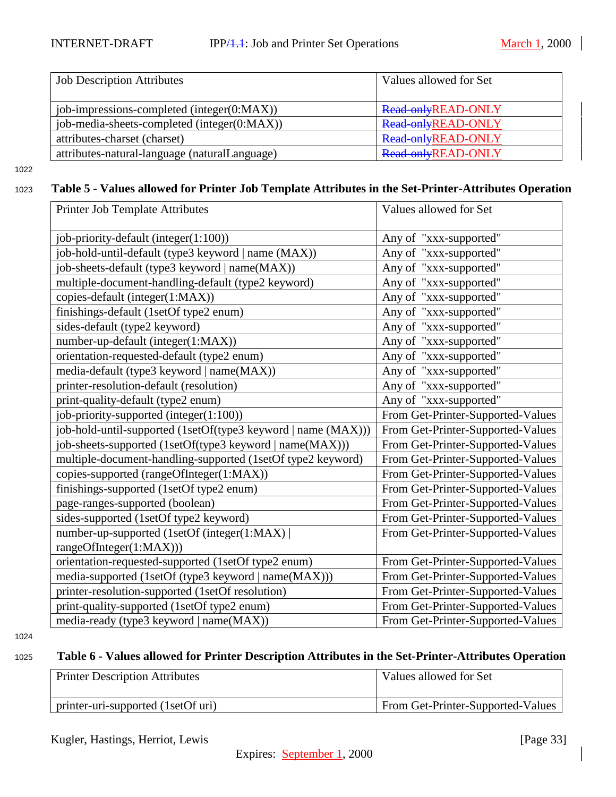<span id="page-32-0"></span>

| <b>Job Description Attributes</b>             | Values allowed for Set    |
|-----------------------------------------------|---------------------------|
| job-impressions-completed (integer(0:MAX))    | Read-onlyREAD-ONLY        |
| job-media-sheets-completed (integer(0:MAX))   | Read-onlyREAD-ONLY        |
| attributes-charset (charset)                  | Read-onlyREAD-ONLY        |
| attributes-natural-language (naturalLanguage) | <b>Read-onlyREAD-ONLY</b> |

## <sup>1023</sup> **Table 5 - Values allowed for Printer Job Template Attributes in the Set-Printer-Attributes Operation**

| Printer Job Template Attributes                               | Values allowed for Set            |
|---------------------------------------------------------------|-----------------------------------|
| job-priority-default (integer(1:100))                         | Any of "xxx-supported"            |
| job-hold-until-default (type3 keyword   name (MAX))           | Any of "xxx-supported"            |
| job-sheets-default (type3 keyword   name(MAX))                | Any of "xxx-supported"            |
| multiple-document-handling-default (type2 keyword)            | Any of "xxx-supported"            |
| copies-default (integer(1:MAX))                               | Any of "xxx-supported"            |
| finishings-default (1setOf type2 enum)                        | Any of "xxx-supported"            |
| sides-default (type2 keyword)                                 | Any of "xxx-supported"            |
| number-up-default (integer(1:MAX))                            | Any of "xxx-supported"            |
| orientation-requested-default (type2 enum)                    | Any of "xxx-supported"            |
| media-default (type3 keyword   name(MAX))                     | Any of "xxx-supported"            |
| printer-resolution-default (resolution)                       | Any of "xxx-supported"            |
| print-quality-default (type2 enum)                            | Any of "xxx-supported"            |
| job-priority-supported (integer(1:100))                       | From Get-Printer-Supported-Values |
| job-hold-until-supported (1setOf(type3 keyword   name (MAX))) | From Get-Printer-Supported-Values |
| job-sheets-supported (1setOf(type3 keyword   name(MAX)))      | From Get-Printer-Supported-Values |
| multiple-document-handling-supported (1setOf type2 keyword)   | From Get-Printer-Supported-Values |
| copies-supported (rangeOfInteger(1:MAX))                      | From Get-Printer-Supported-Values |
| finishings-supported (1setOf type2 enum)                      | From Get-Printer-Supported-Values |
| page-ranges-supported (boolean)                               | From Get-Printer-Supported-Values |
| sides-supported (1setOf type2 keyword)                        | From Get-Printer-Supported-Values |
| number-up-supported (1setOf (integer(1:MAX)                   | From Get-Printer-Supported-Values |
| rangeOfInteger(1:MAX)))                                       |                                   |
| orientation-requested-supported (1setOf type2 enum)           | From Get-Printer-Supported-Values |
| media-supported (1setOf (type3 keyword   name(MAX)))          | From Get-Printer-Supported-Values |
| printer-resolution-supported (1setOf resolution)              | From Get-Printer-Supported-Values |
| print-quality-supported (1setOf type2 enum)                   | From Get-Printer-Supported-Values |
| media-ready (type3 keyword   name(MAX))                       | From Get-Printer-Supported-Values |

1024

## <sup>1025</sup> **Table 6 - Values allowed for Printer Description Attributes in the Set-Printer-Attributes Operation**

| <b>Printer Description Attributes</b>            | Values allowed for Set            |
|--------------------------------------------------|-----------------------------------|
| $\frac{1}{2}$ printer-uri-supported (1setOf uri) | From Get-Printer-Supported-Values |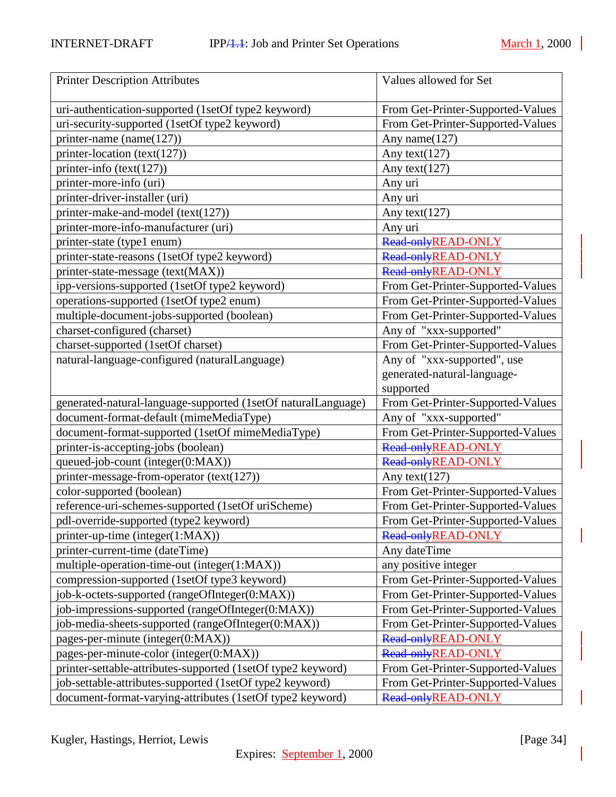| <b>Printer Description Attributes</b>                         | Values allowed for Set            |
|---------------------------------------------------------------|-----------------------------------|
| uri-authentication-supported (1setOf type2 keyword)           | From Get-Printer-Supported-Values |
| uri-security-supported (1setOf type2 keyword)                 | From Get-Printer-Supported-Values |
| printer-name (name(127))                                      | Any name(127)                     |
| printer-location (text(127))                                  | Any text $(127)$                  |
| printer-info (text(127))                                      | Any text $(127)$                  |
| printer-more-info (uri)                                       | Any uri                           |
| printer-driver-installer (uri)                                | Any uri                           |
| printer-make-and-model (text(127))                            | Any text $(127)$                  |
| printer-more-info-manufacturer (uri)                          | Any uri                           |
| printer-state (type1 enum)                                    | Read-onlyREAD-ONLY                |
| printer-state-reasons (1setOf type2 keyword)                  | Read-onlyREAD-ONLY                |
| printer-state-message (text(MAX))                             | Read-onlyREAD-ONLY                |
| ipp-versions-supported (1setOf type2 keyword)                 | From Get-Printer-Supported-Values |
| operations-supported (1setOf type2 enum)                      | From Get-Printer-Supported-Values |
| multiple-document-jobs-supported (boolean)                    | From Get-Printer-Supported-Values |
| charset-configured (charset)                                  | Any of "xxx-supported"            |
| charset-supported (1setOf charset)                            | From Get-Printer-Supported-Values |
| natural-language-configured (naturalLanguage)                 | Any of "xxx-supported", use       |
|                                                               | generated-natural-language-       |
|                                                               | supported                         |
| generated-natural-language-supported (1setOf naturalLanguage) | From Get-Printer-Supported-Values |
| document-format-default (mimeMediaType)                       | Any of "xxx-supported"            |
| document-format-supported (1setOf mimeMediaType)              | From Get-Printer-Supported-Values |
| printer-is-accepting-jobs (boolean)                           | Read-onlyREAD-ONLY                |
| queued-job-count (integer(0:MAX))                             | Read-onlyREAD-ONLY                |
| printer-message-from-operator (text(127))                     | Any text $(127)$                  |
| color-supported (boolean)                                     | From Get-Printer-Supported-Values |
| reference-uri-schemes-supported (1setOf uriScheme)            | From Get-Printer-Supported-Values |
| pdl-override-supported (type2 keyword)                        | From Get-Printer-Supported-Values |
| printer-up-time (integer(1:MAX))                              | Read-onlyREAD-ONLY                |
| printer-current-time (dateTime)                               | Any dateTime                      |
| multiple-operation-time-out (integer(1:MAX))                  | any positive integer              |
| compression-supported (1setOf type3 keyword)                  | From Get-Printer-Supported-Values |
| job-k-octets-supported (rangeOfInteger(0:MAX))                | From Get-Printer-Supported-Values |
| job-impressions-supported (rangeOfInteger(0:MAX))             | From Get-Printer-Supported-Values |
| job-media-sheets-supported (rangeOfInteger(0:MAX))            | From Get-Printer-Supported-Values |
| pages-per-minute (integer(0:MAX))                             | <b>Read-onlyREAD-ONLY</b>         |
| pages-per-minute-color (integer(0:MAX))                       | Read-onlyREAD-ONLY                |
| printer-settable-attributes-supported (1setOf type2 keyword)  | From Get-Printer-Supported-Values |
| job-settable-attributes-supported (1setOf type2 keyword)      | From Get-Printer-Supported-Values |
| document-format-varying-attributes (1setOf type2 keyword)     |                                   |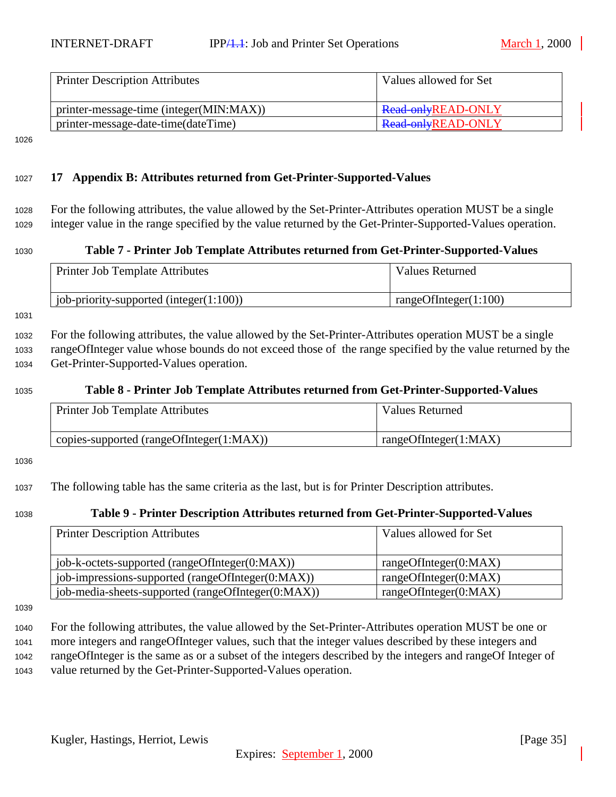<span id="page-34-0"></span>

| <b>Printer Description Attributes</b>   | Values allowed for Set |
|-----------------------------------------|------------------------|
| printer-message-time (integer(MIN:MAX)) | Read-onlyREAD-ONLY     |
| printer-message-date-time(dateTime)     | Read-onlyREAD-ONLY     |

#### <sup>1027</sup> **17 Appendix B: Attributes returned from Get-Printer-Supported-Values**

<sup>1028</sup> For the following attributes, the value allowed by the Set-Printer-Attributes operation MUST be a single <sup>1029</sup> integer value in the range specified by the value returned by the Get-Printer-Supported-Values operation.

#### <sup>1030</sup> **Table 7 - Printer Job Template Attributes returned from Get-Printer-Supported-Values**

| Printer Job Template Attributes             | Values Returned          |
|---------------------------------------------|--------------------------|
| job-priority-supported (integer $(1:100)$ ) | rangeOfInteger $(1:100)$ |

1031

<sup>1032</sup> For the following attributes, the value allowed by the Set-Printer-Attributes operation MUST be a single <sup>1033</sup> rangeOfInteger value whose bounds do not exceed those of the range specified by the value returned by the <sup>1034</sup> Get-Printer-Supported-Values operation.

# <sup>1035</sup> **Table 8 - Printer Job Template Attributes returned from Get-Printer-Supported-Values**

| <b>Printer Job Template Attributes</b>   | Values Returned       |
|------------------------------------------|-----------------------|
| copies-supported (rangeOfInteger(1:MAX)) | rangeOfInteger(1:MAX) |

1036

<sup>1037</sup> The following table has the same criteria as the last, but is for Printer Description attributes.

#### <sup>1038</sup> **Table 9 - Printer Description Attributes returned from Get-Printer-Supported-Values**

| <b>Printer Description Attributes</b>              | Values allowed for Set |
|----------------------------------------------------|------------------------|
| job-k-octets-supported (rangeOfInteger(0:MAX))     | rangeOfInteger(0:MAX)  |
| job-impressions-supported (rangeOfInteger(0:MAX))  | rangeOfInteger(0:MAX)  |
| job-media-sheets-supported (rangeOfInteger(0:MAX)) | rangeOfInteger(0:MAX)  |

1039

 For the following attributes, the value allowed by the Set-Printer-Attributes operation MUST be one or more integers and rangeOfInteger values, such that the integer values described by these integers and rangeOfInteger is the same as or a subset of the integers described by the integers and rangeOf Integer of value returned by the Get-Printer-Supported-Values operation.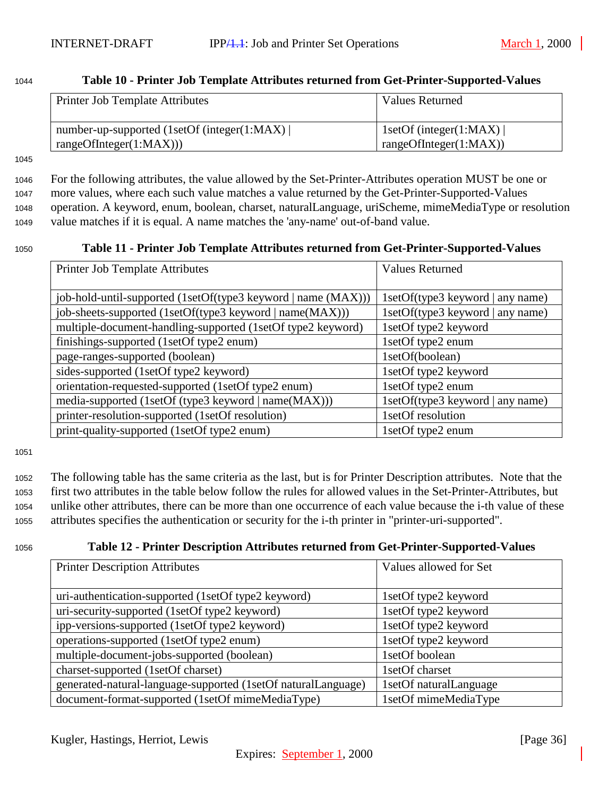<span id="page-35-0"></span>

| Table 10 - Printer Job Template Attributes returned from Get-Printer-Supported-Values<br>1044 |
|-----------------------------------------------------------------------------------------------|
|-----------------------------------------------------------------------------------------------|

| <b>Printer Job Template Attributes</b>                                 | Values Returned                                          |
|------------------------------------------------------------------------|----------------------------------------------------------|
| number-up-supported (1setOf (integer(1:MAX))<br>rangeOfInteger(1:MAX)) | 1setOf (integer(1:MAX) $\vert$<br>rangeOfInteger(1:MAX)) |

 For the following attributes, the value allowed by the Set-Printer-Attributes operation MUST be one or more values, where each such value matches a value returned by the Get-Printer-Supported-Values operation. A keyword, enum, boolean, charset, naturalLanguage, uriScheme, mimeMediaType or resolution value matches if it is equal. A name matches the 'any-name' out-of-band value.

#### <sup>1050</sup> **Table 11 - Printer Job Template Attributes returned from Get-Printer-Supported-Values**

| <b>Printer Job Template Attributes</b>                        | <b>Values Returned</b>           |
|---------------------------------------------------------------|----------------------------------|
|                                                               |                                  |
| job-hold-until-supported (1setOf(type3 keyword   name (MAX))) | 1setOf(type3 keyword   any name) |
| job-sheets-supported (1setOf(type3 keyword   name(MAX)))      | 1setOf(type3 keyword   any name) |
| multiple-document-handling-supported (1setOf type2 keyword)   | 1setOf type2 keyword             |
| finishings-supported (1setOf type2 enum)                      | 1setOf type2 enum                |
| page-ranges-supported (boolean)                               | 1setOf(boolean)                  |
| sides-supported (1setOf type2 keyword)                        | 1setOf type2 keyword             |
| orientation-requested-supported (1setOf type2 enum)           | 1setOf type2 enum                |
| media-supported (1setOf (type3 keyword   name(MAX)))          | 1setOf(type3 keyword   any name) |
| printer-resolution-supported (1setOf resolution)              | 1setOf resolution                |
| print-quality-supported (1setOf type2 enum)                   | 1setOf type2 enum                |

1051

 The following table has the same criteria as the last, but is for Printer Description attributes. Note that the first two attributes in the table below follow the rules for allowed values in the Set-Printer-Attributes, but unlike other attributes, there can be more than one occurrence of each value because the i-th value of these attributes specifies the authentication or security for the i-th printer in "printer-uri-supported".

## <sup>1056</sup> **Table 12 - Printer Description Attributes returned from Get-Printer-Supported-Values**

| <b>Printer Description Attributes</b>                         | Values allowed for Set |
|---------------------------------------------------------------|------------------------|
|                                                               |                        |
| uri-authentication-supported (1setOf type2 keyword)           | 1setOf type2 keyword   |
| uri-security-supported (1setOf type2 keyword)                 | 1setOf type2 keyword   |
| ipp-versions-supported (1setOf type2 keyword)                 | 1setOf type2 keyword   |
| operations-supported (1setOf type2 enum)                      | 1setOf type2 keyword   |
| multiple-document-jobs-supported (boolean)                    | 1setOf boolean         |
| charset-supported (1setOf charset)                            | 1setOf charset         |
| generated-natural-language-supported (1setOf naturalLanguage) | 1setOf naturalLanguage |
| document-format-supported (1setOf mimeMediaType)              | 1setOf mimeMediaType   |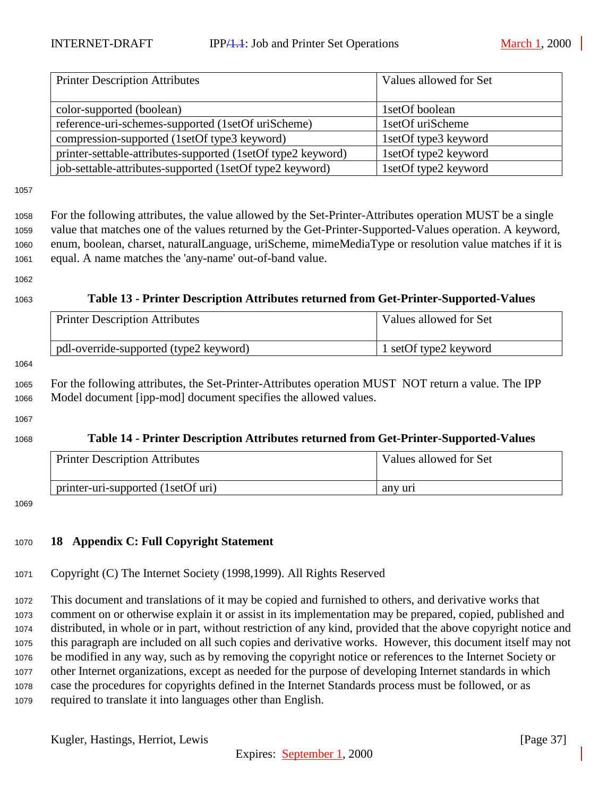<span id="page-36-0"></span>

| <b>Printer Description Attributes</b>                        | Values allowed for Set |
|--------------------------------------------------------------|------------------------|
|                                                              |                        |
| color-supported (boolean)                                    | 1 set Of boolean       |
| reference-uri-schemes-supported (1setOf uriScheme)           | 1setOf uriScheme       |
| compression-supported (1setOf type3 keyword)                 | 1setOf type3 keyword   |
| printer-settable-attributes-supported (1setOf type2 keyword) | 1setOf type2 keyword   |
| job-settable-attributes-supported (1setOf type2 keyword)     | 1setOf type2 keyword   |

 For the following attributes, the value allowed by the Set-Printer-Attributes operation MUST be a single value that matches one of the values returned by the Get-Printer-Supported-Values operation. A keyword, enum, boolean, charset, naturalLanguage, uriScheme, mimeMediaType or resolution value matches if it is equal. A name matches the 'any-name' out-of-band value.

#### 

## **Table 13 - Printer Description Attributes returned from Get-Printer-Supported-Values**

| <b>Printer Description Attributes</b>  | Values allowed for Set  |
|----------------------------------------|-------------------------|
| pdl-override-supported (type2 keyword) | 1 set Of type 2 keyword |

# For the following attributes, the Set-Printer-Attributes operation MUST NOT return a value. The IPP Model document [ipp-mod] document specifies the allowed values.

#### 

#### **Table 14 - Printer Description Attributes returned from Get-Printer-Supported-Values**

| <b>Printer Description Attributes</b> | Values allowed for Set |
|---------------------------------------|------------------------|
| printer-uri-supported (1setOf uri)    | any uri                |

#### 

## **18 Appendix C: Full Copyright Statement**

Copyright (C) The Internet Society (1998,1999). All Rights Reserved

 This document and translations of it may be copied and furnished to others, and derivative works that comment on or otherwise explain it or assist in its implementation may be prepared, copied, published and distributed, in whole or in part, without restriction of any kind, provided that the above copyright notice and this paragraph are included on all such copies and derivative works. However, this document itself may not be modified in any way, such as by removing the copyright notice or references to the Internet Society or other Internet organizations, except as needed for the purpose of developing Internet standards in which case the procedures for copyrights defined in the Internet Standards process must be followed, or as required to translate it into languages other than English.